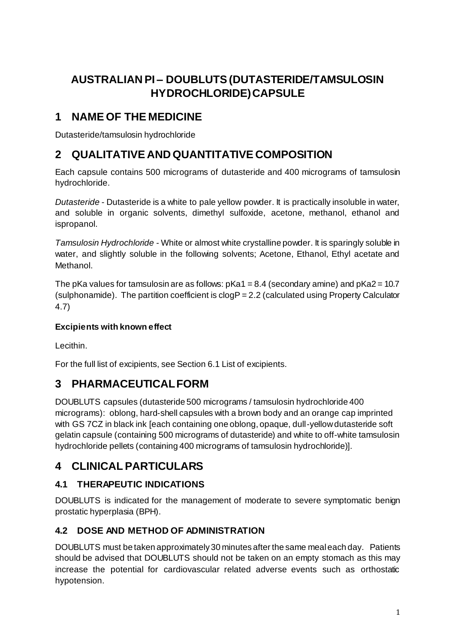# **AUSTRALIAN PI – DOUBLUTS(DUTASTERIDE/TAMSULOSIN HYDROCHLORIDE)CAPSULE**

## **1 NAME OF THE MEDICINE**

Dutasteride/tamsulosin hydrochloride

## **2 QUALITATIVE AND QUANTITATIVE COMPOSITION**

Each capsule contains 500 micrograms of dutasteride and 400 micrograms of tamsulosin hydrochloride.

*Dutasteride* - Dutasteride is a white to pale yellow powder. It is practically insoluble in water, and soluble in organic solvents, dimethyl sulfoxide, acetone, methanol, ethanol and ispropanol.

*Tamsulosin Hydrochloride -* White or almost white crystalline powder. It is sparingly soluble in water, and slightly soluble in the following solvents; Acetone, Ethanol, Ethyl acetate and Methanol.

The pKa values for tamsulosin are as follows:  $pKa1 = 8.4$  (secondary amine) and  $pKa2 = 10.7$ (sulphonamide). The partition coefficient is  $clogP = 2.2$  (calculated using Property Calculator 4.7)

### **Excipients with known effect**

Lecithin.

For the full list of excipients, see Section 6.1 List of excipients.

## **3 PHARMACEUTICAL FORM**

DOUBLUTS capsules (dutasteride 500 micrograms / tamsulosin hydrochloride 400 micrograms): oblong, hard-shell capsules with a brown body and an orange cap imprinted with GS 7CZ in black ink [each containing one oblong, opaque, dull-yellow dutasteride soft gelatin capsule (containing 500 micrograms of dutasteride) and white to off-white tamsulosin hydrochloride pellets (containing 400 micrograms of tamsulosin hydrochloride)].

## **4 CLINICAL PARTICULARS**

## **4.1 THERAPEUTIC INDICATIONS**

DOUBLUTS is indicated for the management of moderate to severe symptomatic benign prostatic hyperplasia (BPH).

### **4.2 DOSE AND METHOD OF ADMINISTRATION**

DOUBLUTS must be taken approximately 30 minutes after the same meal each day. Patients should be advised that DOUBLUTS should not be taken on an empty stomach as this may increase the potential for cardiovascular related adverse events such as orthostatic hypotension.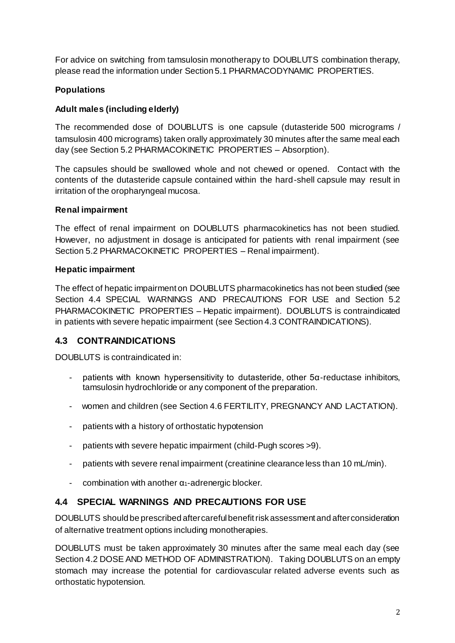For advice on switching from tamsulosin monotherapy to DOUBLUTS combination therapy, please read the information under Section 5.1 PHARMACODYNAMIC PROPERTIES.

### **Populations**

### **Adult males (including elderly)**

The recommended dose of DOUBLUTS is one capsule (dutasteride 500 micrograms / tamsulosin 400 micrograms) taken orally approximately 30 minutes after the same meal each day (see Section 5.2 PHARMACOKINETIC PROPERTIES – Absorption).

The capsules should be swallowed whole and not chewed or opened. Contact with the contents of the dutasteride capsule contained within the hard-shell capsule may result in irritation of the oropharyngeal mucosa.

#### **Renal impairment**

The effect of renal impairment on DOUBLUTS pharmacokinetics has not been studied. However, no adjustment in dosage is anticipated for patients with renal impairment (see Section 5.2 PHARMACOKINETIC PROPERTIES – Renal impairment).

#### **Hepatic impairment**

The effect of hepatic impairment on DOUBLUTS pharmacokinetics has not been studied (see Section 4.4 SPECIAL WARNINGS AND PRECAUTIONS FOR USE and Section 5.2 PHARMACOKINETIC PROPERTIES – Hepatic impairment). DOUBLUTS is contraindicated in patients with severe hepatic impairment (see Section 4.3 CONTRAINDICATIONS).

### **4.3 CONTRAINDICATIONS**

DOUBLUTS is contraindicated in:

- patients with known hypersensitivity to dutasteride, other  $5\alpha$ -reductase inhibitors, tamsulosin hydrochloride or any component of the preparation.
- women and children (see Section 4.6 FERTILITY, PREGNANCY AND LACTATION).
- patients with a history of orthostatic hypotension
- patients with severe hepatic impairment (child-Pugh scores >9).
- patients with severe renal impairment (creatinine clearance less than 10 mL/min).
- combination with another α1-adrenergic blocker.

### **4.4 SPECIAL WARNINGS AND PRECAUTIONS FOR USE**

DOUBLUTS should be prescribed after careful benefit risk assessment and after consideration of alternative treatment options including monotherapies.

DOUBLUTS must be taken approximately 30 minutes after the same meal each day (see Section 4.2 DOSE AND METHOD OF ADMINISTRATION). Taking DOUBLUTS on an empty stomach may increase the potential for cardiovascular related adverse events such as orthostatic hypotension.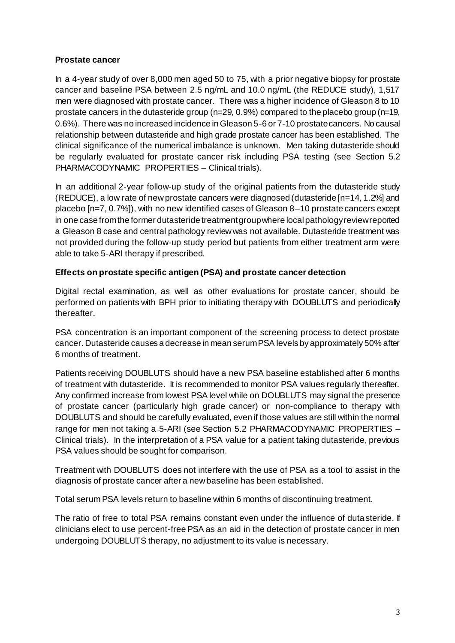### **Prostate cancer**

In a 4-year study of over 8,000 men aged 50 to 75, with a prior negative biopsy for prostate cancer and baseline PSA between 2.5 ng/mL and 10.0 ng/mL (the REDUCE study), 1,517 men were diagnosed with prostate cancer. There was a higher incidence of Gleason 8 to 10 prostate cancers in the dutasteride group (n=29, 0.9%) compared to the placebo group (n=19, 0.6%). There was no increased incidence in Gleason 5-6 or 7-10 prostate cancers. No causal relationship between dutasteride and high grade prostate cancer has been established. The clinical significance of the numerical imbalance is unknown. Men taking dutasteride should be regularly evaluated for prostate cancer risk including PSA testing (see Section 5.2 PHARMACODYNAMIC PROPERTIES – Clinical trials).

In an additional 2-year follow-up study of the original patients from the dutasteride study (REDUCE), a low rate of new prostate cancers were diagnosed (dutasteride [n=14, 1.2%] and placebo [n=7, 0.7%]), with no new identified cases of Gleason 8–10 prostate cancers except in one case from the former dutasteride treatment group where local pathology review reported a Gleason 8 case and central pathology review was not available. Dutasteride treatment was not provided during the follow-up study period but patients from either treatment arm were able to take 5-ARI therapy if prescribed.

### **Effects on prostate specific antigen (PSA) and prostate cancer detection**

Digital rectal examination, as well as other evaluations for prostate cancer, should be performed on patients with BPH prior to initiating therapy with DOUBLUTS and periodically thereafter.

PSA concentration is an important component of the screening process to detect prostate cancer. Dutasteride causes a decrease in mean serum PSA levels by approximately 50% after 6 months of treatment.

Patients receiving DOUBLUTS should have a new PSA baseline established after 6 months of treatment with dutasteride. It is recommended to monitor PSA values regularly thereafter. Any confirmed increase from lowest PSA level while on DOUBLUTS may signal the presence of prostate cancer (particularly high grade cancer) or non-compliance to therapy with DOUBLUTS and should be carefully evaluated, even if those values are still within the normal range for men not taking a 5-ARI (see Section 5.2 PHARMACODYNAMIC PROPERTIES – Clinical trials). In the interpretation of a PSA value for a patient taking dutasteride, previous PSA values should be sought for comparison.

Treatment with DOUBLUTS does not interfere with the use of PSA as a tool to assist in the diagnosis of prostate cancer after a new baseline has been established.

Total serum PSA levels return to baseline within 6 months of discontinuing treatment.

The ratio of free to total PSA remains constant even under the influence of duta steride. If clinicians elect to use percent-free PSA as an aid in the detection of prostate cancer in men undergoing DOUBLUTS therapy, no adjustment to its value is necessary.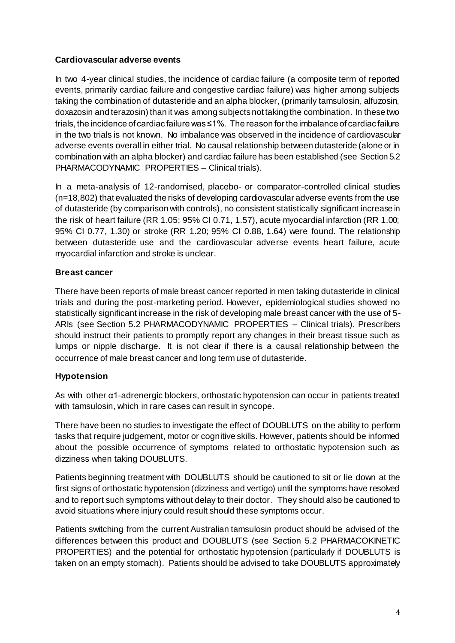### **Cardiovascular adverse events**

In two 4-year clinical studies, the incidence of cardiac failure (a composite term of reported events, primarily cardiac failure and congestive cardiac failure) was higher among subjects taking the combination of dutasteride and an alpha blocker, (primarily tamsulosin, alfuzosin, doxazosin and terazosin) than it was among subjects not taking the combination. In these two trials, the incidence of cardiac failure was ≤1%. The reason for the imbalance of cardiac failure in the two trials is not known. No imbalance was observed in the incidence of cardiovascular adverse events overall in either trial. No causal relationship between dutasteride (alone or in combination with an alpha blocker) and cardiac failure has been established (see Section 5.2 PHARMACODYNAMIC PROPERTIES – Clinical trials).

In a meta-analysis of 12-randomised, placebo- or comparator-controlled clinical studies (n=18,802) that evaluated the risks of developing cardiovascular adverse events from the use of dutasteride (by comparison with controls), no consistent statistically significant increase in the risk of heart failure (RR 1.05; 95% CI 0.71, 1.57), acute myocardial infarction (RR 1.00; 95% CI 0.77, 1.30) or stroke (RR 1.20; 95% CI 0.88, 1.64) were found. The relationship between dutasteride use and the cardiovascular adverse events heart failure, acute myocardial infarction and stroke is unclear.

### **Breast cancer**

There have been reports of male breast cancer reported in men taking dutasteride in clinical trials and during the post-marketing period. However, epidemiological studies showed no statistically significant increase in the risk of developing male breast cancer with the use of 5- ARIs (see Section 5.2 PHARMACODYNAMIC PROPERTIES – Clinical trials). Prescribers should instruct their patients to promptly report any changes in their breast tissue such as lumps or nipple discharge. It is not clear if there is a causal relationship between the occurrence of male breast cancer and long term use of dutasteride.

### **Hypotension**

As with other α1-adrenergic blockers, orthostatic hypotension can occur in patients treated with tamsulosin, which in rare cases can result in syncope.

There have been no studies to investigate the effect of DOUBLUTS on the ability to perform tasks that require judgement, motor or cognitive skills. However, patients should be informed about the possible occurrence of symptoms related to orthostatic hypotension such as dizziness when taking DOUBLUTS.

Patients beginning treatment with DOUBLUTS should be cautioned to sit or lie down at the first signs of orthostatic hypotension (dizziness and vertigo) until the symptoms have resolved and to report such symptoms without delay to their doctor. They should also be cautioned to avoid situations where injury could result should these symptoms occur.

Patients switching from the current Australian tamsulosin product should be advised of the differences between this product and DOUBLUTS (see Section 5.2 PHARMACOKINETIC PROPERTIES) and the potential for orthostatic hypotension (particularly if DOUBLUTS is taken on an empty stomach). Patients should be advised to take DOUBLUTS approximately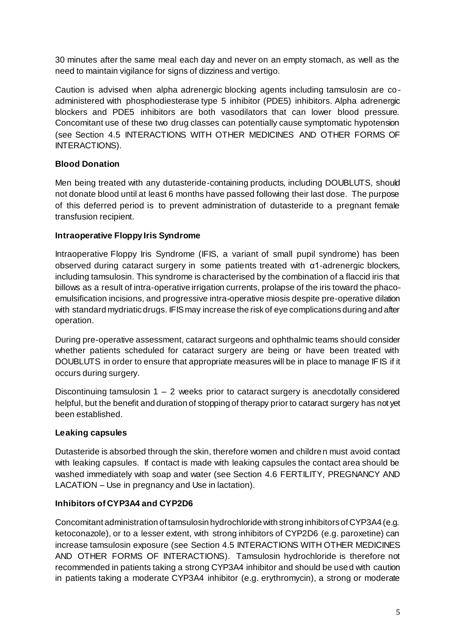30 minutes after the same meal each day and never on an empty stomach, as well as the need to maintain vigilance for signs of dizziness and vertigo.

Caution is advised when alpha adrenergic blocking agents including tamsulosin are co administered with phosphodiesterase type 5 inhibitor (PDE5) inhibitors. Alpha adrenergic blockers and PDE5 inhibitors are both vasodilators that can lower blood pressure. Concomitant use of these two drug classes can potentially cause symptomatic hypotension (see Section 4.5 INTERACTIONS WITH OTHER MEDICINES AND OTHER FORMS OF INTERACTIONS).

### **Blood Donation**

Men being treated with any dutasteride-containing products, including DOUBLUTS, should not donate blood until at least 6 months have passed following their last dose. The purpose of this deferred period is to prevent administration of dutasteride to a pregnant female transfusion recipient.

### **Intraoperative Floppy Iris Syndrome**

Intraoperative Floppy Iris Syndrome (IFIS, a variant of small pupil syndrome) has been observed during cataract surgery in some patients treated with α1-adrenergic blockers, including tamsulosin. This syndrome is characterised by the combination of a flaccid iris that billows as a result of intra-operative irrigation currents, prolapse of the iris toward the phacoemulsification incisions, and progressive intra-operative miosis despite pre-operative dilation with standard mydriatic drugs. IFIS may increase the risk of eye complications during and after operation.

During pre-operative assessment, cataract surgeons and ophthalmic teams should consider whether patients scheduled for cataract surgery are being or have been treated with DOUBLUTS in order to ensure that appropriate measures will be in place to manage IFIS if it occurs during surgery.

Discontinuing tamsulosin  $1 - 2$  weeks prior to cataract surgery is anecdotally considered helpful, but the benefit and duration of stopping of therapy prior to cataract surgery has not yet been established.

### **Leaking capsules**

Dutasteride is absorbed through the skin, therefore women and children must avoid contact with leaking capsules. If contact is made with leaking capsules the contact area should be washed immediately with soap and water (see Section 4.6 FERTILITY, PREGNANCY AND LACATION – Use in pregnancy and Use in lactation).

### **Inhibitors of CYP3A4 and CYP2D6**

Concomitant administration of tamsulosin hydrochloride with strong inhibitors of CYP3A4 (e.g. ketoconazole), or to a lesser extent, with strong inhibitors of CYP2D6 (e.g. paroxetine) can increase tamsulosin exposure (see Section 4.5 INTERACTIONS WITH OTHER MEDICINES AND OTHER FORMS OF INTERACTIONS). Tamsulosin hydrochloride is therefore not recommended in patients taking a strong CYP3A4 inhibitor and should be used with caution in patients taking a moderate CYP3A4 inhibitor (e.g. erythromycin), a strong or moderate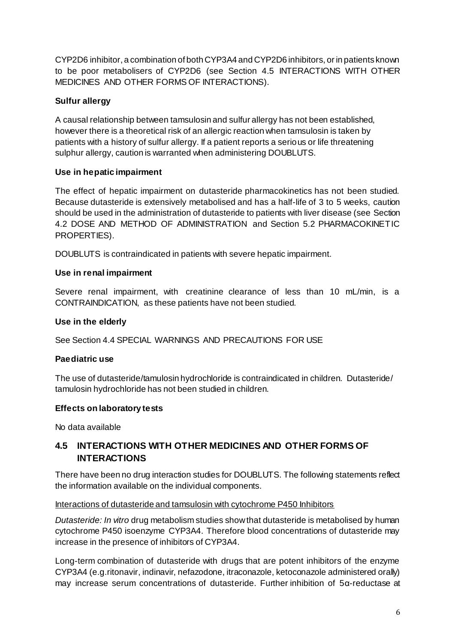CYP2D6 inhibitor, a combination of both CYP3A4 and CYP2D6 inhibitors, or in patients known to be poor metabolisers of CYP2D6 (see Section 4.5 INTERACTIONS WITH OTHER MEDICINES AND OTHER FORMS OF INTERACTIONS).

### **Sulfur allergy**

A causal relationship between tamsulosin and sulfur allergy has not been established, however there is a theoretical risk of an allergic reaction when tamsulosin is taken by patients with a history of sulfur allergy. If a patient reports a serious or life threatening sulphur allergy, caution is warranted when administering DOUBLUTS.

### **Use in hepatic impairment**

The effect of hepatic impairment on dutasteride pharmacokinetics has not been studied. Because dutasteride is extensively metabolised and has a half-life of 3 to 5 weeks, caution should be used in the administration of dutasteride to patients with liver disease (see Section 4.2 DOSE AND METHOD OF ADMINISTRATION and Section 5.2 PHARMACOKINETIC PROPERTIES).

DOUBLUTS is contraindicated in patients with severe hepatic impairment.

### **Use in renal impairment**

Severe renal impairment, with creatinine clearance of less than 10 mL/min, is a CONTRAINDICATION, as these patients have not been studied.

### **Use in the elderly**

See Section 4.4 SPECIAL WARNINGS AND PRECAUTIONS FOR USE

### **Paediatric use**

The use of dutasteride/tamulosin hydrochloride is contraindicated in children. Dutasteride/ tamulosin hydrochloride has not been studied in children.

### **Effects on laboratory tests**

No data available

### **4.5 INTERACTIONS WITH OTHER MEDICINES AND OTHER FORMS OF INTERACTIONS**

There have been no drug interaction studies for DOUBLUTS. The following statements reflect the information available on the individual components.

### Interactions of dutasteride and tamsulosin with cytochrome P450 Inhibitors

*Dutasteride: In vitro* drug metabolism studies show that dutasteride is metabolised by human cytochrome P450 isoenzyme CYP3A4. Therefore blood concentrations of dutasteride may increase in the presence of inhibitors of CYP3A4.

Long-term combination of dutasteride with drugs that are potent inhibitors of the enzyme CYP3A4 (e.g.ritonavir, indinavir, nefazodone, itraconazole, ketoconazole administered orally) may increase serum concentrations of dutasteride. Further inhibition of 5α-reductase at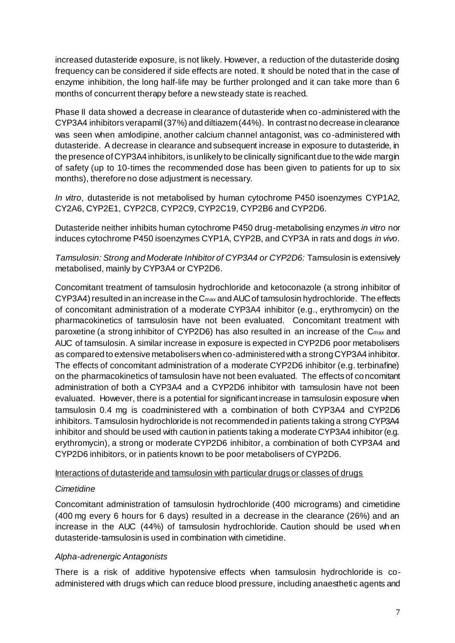increased dutasteride exposure, is not likely. However, a reduction of the dutasteride dosing frequency can be considered if side effects are noted. It should be noted that in the case of enzyme inhibition, the long half-life may be further prolonged and it can take more than 6 months of concurrent therapy before a new steady state is reached.

Phase II data showed a decrease in clearance of dutasteride when co-administered with the CYP3A4 inhibitors verapamil (37%) and diltiazem (44%). In contrast no decrease in clearance was seen when amlodipine, another calcium channel antagonist, was co-administered with dutasteride. A decrease in clearance and subsequent increase in exposure to dutasteride, in the presence of CYP3A4 inhibitors, is unlikely to be clinically significant due to the wide margin of safety (up to 10-times the recommended dose has been given to patients for up to six months), therefore no dose adjustment is necessary.

*In vitro*, dutasteride is not metabolised by human cytochrome P450 isoenzymes CYP1A2, CY2A6, CYP2E1, CYP2C8, CYP2C9, CYP2C19, CYP2B6 and CYP2D6.

Dutasteride neither inhibits human cytochrome P450 drug-metabolising enzymes *in vitro* nor induces cytochrome P450 isoenzymes CYP1A, CYP2B, and CYP3A in rats and dogs *in vivo*.

*Tamsulosin: Strong and Moderate Inhibitor of CYP3A4 or CYP2D6:* Tamsulosin is extensively metabolised, mainly by CYP3A4 or CYP2D6.

Concomitant treatment of tamsulosin hydrochloride and ketoconazole (a strong inhibitor of  $CYP3A4$ ) resulted in an increase in the  $C<sub>max</sub>$  and AUC of tamsulosin hydrochloride. The effects of concomitant administration of a moderate CYP3A4 inhibitor (e.g., erythromycin) on the pharmacokinetics of tamsulosin have not been evaluated. Concomitant treatment with paroxetine (a strong inhibitor of CYP2D6) has also resulted in an increase of the Cmax and AUC of tamsulosin. A similar increase in exposure is expected in CYP2D6 poor metabolisers as compared to extensive metabolisers when co-administered with a strong CYP3A4 inhibitor. The effects of concomitant administration of a moderate CYP2D6 inhibitor (e.g. terbinafine) on the pharmacokinetics of tamsulosin have not been evaluated. The effects of concomitant administration of both a CYP3A4 and a CYP2D6 inhibitor with tamsulosin have not been evaluated. However, there is a potential for significant increase in tamsulosin exposure when tamsulosin 0.4 mg is coadministered with a combination of both CYP3A4 and CYP2D6 inhibitors. Tamsulosin hydrochloride is not recommended in patients taking a strong CYP3A4 inhibitor and should be used with caution in patients taking a moderate CYP3A4 inhibitor (e.g. erythromycin), a strong or moderate CYP2D6 inhibitor, a combination of both CYP3A4 and CYP2D6 inhibitors, or in patients known to be poor metabolisers of CYP2D6.

#### Interactions of dutasteride and tamsulosin with particular drugs or classes of drugs

### *Cimetidine*

Concomitant administration of tamsulosin hydrochloride (400 micrograms) and cimetidine (400 mg every 6 hours for 6 days) resulted in a decrease in the clearance (26%) and an increase in the AUC (44%) of tamsulosin hydrochloride. Caution should be used when dutasteride-tamsulosin is used in combination with cimetidine.

### *Alpha-adrenergic Antagonists*

There is a risk of additive hypotensive effects when tamsulosin hydrochloride is coadministered with drugs which can reduce blood pressure, including anaesthetic agents and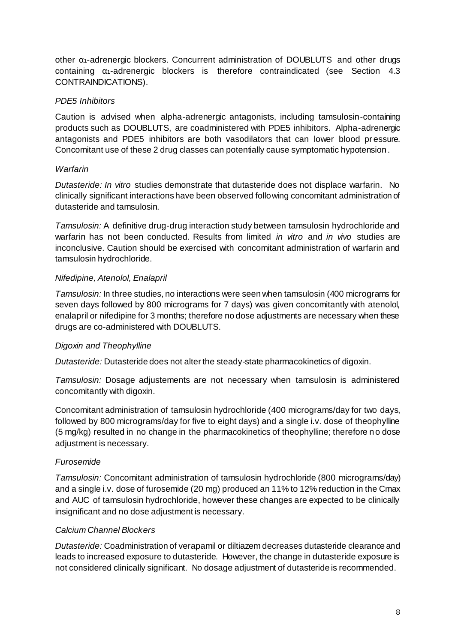other α1-adrenergic blockers. Concurrent administration of DOUBLUTS and other drugs containing α1-adrenergic blockers is therefore contraindicated (see Section 4.3 CONTRAINDICATIONS).

### *PDE5 Inhibitors*

Caution is advised when alpha-adrenergic antagonists, including tamsulosin-containing products such as DOUBLUTS, are coadministered with PDE5 inhibitors. Alpha-adrenergic antagonists and PDE5 inhibitors are both vasodilators that can lower blood pr essure. Concomitant use of these 2 drug classes can potentially cause symptomatic hypotension.

### *Warfarin*

*Dutasteride: In vitro* studies demonstrate that dutasteride does not displace warfarin. No clinically significant interactions have been observed following concomitant administration of dutasteride and tamsulosin.

*Tamsulosin:* A definitive drug-drug interaction study between tamsulosin hydrochloride and warfarin has not been conducted. Results from limited *in vitro* and *in vivo* studies are inconclusive. Caution should be exercised with concomitant administration of warfarin and tamsulosin hydrochloride.

### *Nifedipine, Atenolol, Enalapril*

*Tamsulosin:* In three studies, no interactions were seen when tamsulosin (400 micrograms for seven days followed by 800 micrograms for 7 days) was given concomitantly with atenolol, enalapril or nifedipine for 3 months; therefore no dose adjustments are necessary when these drugs are co-administered with DOUBLUTS.

### *Digoxin and Theophylline*

*Dutasteride:* Dutasteride does not alter the steady-state pharmacokinetics of digoxin.

*Tamsulosin:* Dosage adjustements are not necessary when tamsulosin is administered concomitantly with digoxin.

Concomitant administration of tamsulosin hydrochloride (400 micrograms/day for two days, followed by 800 micrograms/day for five to eight days) and a single i.v. dose of theophylline (5 mg/kg) resulted in no change in the pharmacokinetics of theophylline; therefore no dose adjustment is necessary.

### *Furosemide*

*Tamsulosin:* Concomitant administration of tamsulosin hydrochloride (800 micrograms/day) and a single i.v. dose of furosemide (20 mg) produced an 11% to 12% reduction in the Cmax and AUC of tamsulosin hydrochloride, however these changes are expected to be clinically insignificant and no dose adjustment is necessary.

### *Calcium Channel Blockers*

*Dutasteride:* Coadministration of verapamil or diltiazem decreases dutasteride clearance and leads to increased exposure to dutasteride. However, the change in dutasteride exposure is not considered clinically significant. No dosage adjustment of dutasteride is recommended.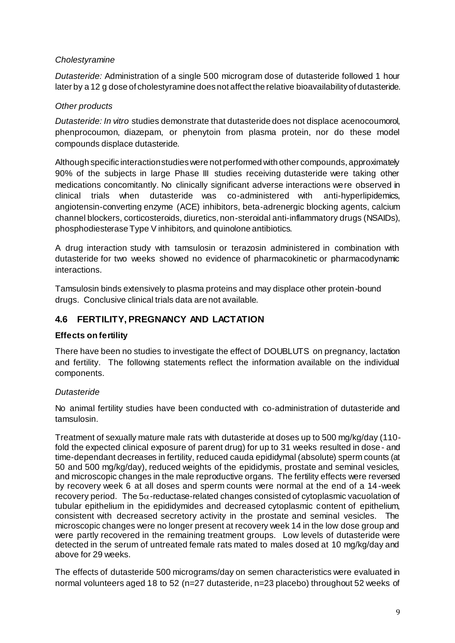### *Cholestyramine*

*Dutasteride:* Administration of a single 500 microgram dose of dutasteride followed 1 hour later by a 12 g dose of cholestyramine does not affect the relative bioavailability of dutasteride.

### *Other products*

*Dutasteride: In vitro* studies demonstrate that dutasteride does not displace acenocoumorol, phenprocoumon, diazepam, or phenytoin from plasma protein, nor do these model compounds displace dutasteride.

Although specific interaction studies were not performed with other compounds, approximately 90% of the subjects in large Phase III studies receiving dutasteride were taking other medications concomitantly. No clinically significant adverse interactions were observed in clinical trials when dutasteride was co-administered with anti-hyperlipidemics, angiotensin-converting enzyme (ACE) inhibitors, beta-adrenergic blocking agents, calcium channel blockers, corticosteroids, diuretics, non-steroidal anti-inflammatory drugs (NSAIDs), phosphodiesterase Type V inhibitors, and quinolone antibiotics.

A drug interaction study with tamsulosin or terazosin administered in combination with dutasteride for two weeks showed no evidence of pharmacokinetic or pharmacodynamic interactions.

Tamsulosin binds extensively to plasma proteins and may displace other protein-bound drugs. Conclusive clinical trials data are not available.

### **4.6 FERTILITY, PREGNANCY AND LACTATION**

#### **Effects on fertility**

There have been no studies to investigate the effect of DOUBLUTS on pregnancy, lactation and fertility. The following statements reflect the information available on the individual components.

#### *Dutasteride*

No animal fertility studies have been conducted with co-administration of dutasteride and tamsulosin.

Treatment of sexually mature male rats with dutasteride at doses up to 500 mg/kg/day (110 fold the expected clinical exposure of parent drug) for up to 31 weeks resulted in dose - and time-dependant decreases in fertility, reduced cauda epididymal (absolute) sperm counts (at 50 and 500 mg/kg/day), reduced weights of the epididymis, prostate and seminal vesicles, and microscopic changes in the male reproductive organs. The fertility effects were reversed by recovery week 6 at all doses and sperm counts were normal at the end of a 14 -week recovery period. The  $5\alpha$ -reductase-related changes consisted of cytoplasmic vacuolation of tubular epithelium in the epididymides and decreased cytoplasmic content of epithelium, consistent with decreased secretory activity in the prostate and seminal vesicles. The microscopic changes were no longer present at recovery week 14 in the low dose group and were partly recovered in the remaining treatment groups. Low levels of dutasteride were detected in the serum of untreated female rats mated to males dosed at 10 mg/kg/day and above for 29 weeks.

The effects of dutasteride 500 micrograms/day on semen characteristics were evaluated in normal volunteers aged 18 to 52 (n=27 dutasteride, n=23 placebo) throughout 52 weeks of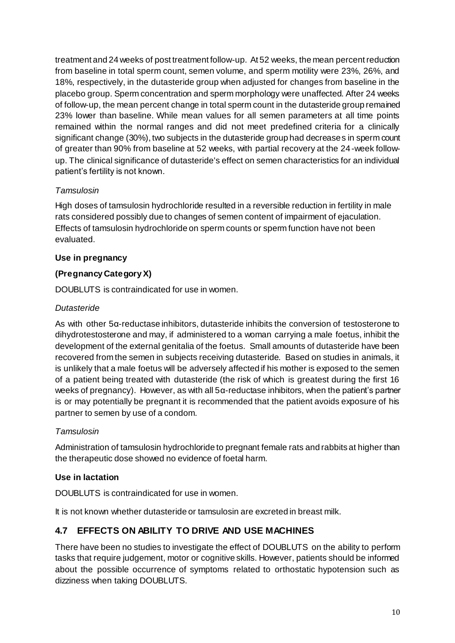treatment and 24 weeks of post treatment follow-up. At 52 weeks, the mean percent reduction from baseline in total sperm count, semen volume, and sperm motility were 23%, 26%, and 18%, respectively, in the dutasteride group when adjusted for changes from baseline in the placebo group. Sperm concentration and sperm morphology were unaffected. After 24 weeks of follow-up, the mean percent change in total sperm count in the dutasteride group remained 23% lower than baseline. While mean values for all semen parameters at all time points remained within the normal ranges and did not meet predefined criteria for a clinically significant change (30%), two subjects in the dutasteride group had decreases in sperm count of greater than 90% from baseline at 52 weeks, with partial recovery at the 24-week followup. The clinical significance of dutasteride's effect on semen characteristics for an individual patient's fertility is not known.

### *Tamsulosin*

High doses of tamsulosin hydrochloride resulted in a reversible reduction in fertility in male rats considered possibly due to changes of semen content of impairment of ejaculation. Effects of tamsulosin hydrochloride on sperm counts or sperm function have not been evaluated.

### **Use in pregnancy**

### **(Pregnancy Category X)**

DOUBLUTS is contraindicated for use in women.

### *Dutasteride*

As with other 5α-reductase inhibitors, dutasteride inhibits the conversion of testosterone to dihydrotestosterone and may, if administered to a woman carrying a male foetus, inhibit the development of the external genitalia of the foetus. Small amounts of dutasteride have been recovered from the semen in subjects receiving dutasteride. Based on studies in animals, it is unlikely that a male foetus will be adversely affected if his mother is exposed to the semen of a patient being treated with dutasteride (the risk of which is greatest during the first 16 weeks of pregnancy). However, as with all 5α-reductase inhibitors, when the patient's partner is or may potentially be pregnant it is recommended that the patient avoids exposure of his partner to semen by use of a condom.

### *Tamsulosin*

Administration of tamsulosin hydrochloride to pregnant female rats and rabbits at higher than the therapeutic dose showed no evidence of foetal harm.

### **Use in lactation**

DOUBLUTS is contraindicated for use in women.

It is not known whether dutasteride or tamsulosin are excreted in breast milk.

### **4.7 EFFECTS ON ABILITY TO DRIVE AND USE MACHINES**

There have been no studies to investigate the effect of DOUBLUTS on the ability to perform tasks that require judgement, motor or cognitive skills. However, patients should be informed about the possible occurrence of symptoms related to orthostatic hypotension such as dizziness when taking DOUBLUTS.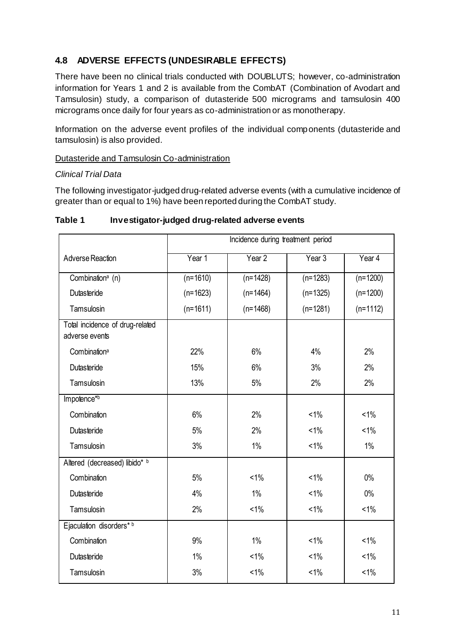### **4.8 ADVERSE EFFECTS (UNDESIRABLE EFFECTS)**

There have been no clinical trials conducted with DOUBLUTS; however, co-administration information for Years 1 and 2 is available from the CombAT (Combination of Avodart and Tamsulosin) study, a comparison of dutasteride 500 micrograms and tamsulosin 400 micrograms once daily for four years as co-administration or as monotherapy.

Information on the adverse event profiles of the individual components (dutasteride and tamsulosin) is also provided.

### Dutasteride and Tamsulosin Co-administration

#### *Clinical Trial Data*

The following investigator-judged drug-related adverse events (with a cumulative incidence of greater than or equal to 1%) have been reported during the CombAT study.

|                                                   | Incidence during treatment period |            |            |            |
|---------------------------------------------------|-----------------------------------|------------|------------|------------|
| Adverse Reaction                                  | Year 1                            | Year 2     | Year 3     | Year 4     |
| Combination <sup>a</sup> (n)                      | $(n=1610)$                        | $(n=1428)$ | $(n=1283)$ | $(n=1200)$ |
| Dutasteride                                       | $(n=1623)$                        | $(n=1464)$ | $(n=1325)$ | $(n=1200)$ |
| Tamsulosin                                        | $(n=1611)$                        | $(n=1468)$ | $(n=1281)$ | $(n=1112)$ |
| Total incidence of drug-related<br>adverse events |                                   |            |            |            |
| Combination <sup>a</sup>                          | 22%                               | 6%         | 4%         | 2%         |
| Dutasteride                                       | 15%                               | 6%         | 3%         | 2%         |
| Tamsulosin                                        | 13%                               | 5%         | 2%         | 2%         |
| Impotence*b                                       |                                   |            |            |            |
| Combination                                       | 6%                                | 2%         | $< 1\%$    | $< 1\%$    |
| Dutasteride                                       | 5%                                | 2%         | $< 1\%$    | $< 1\%$    |
| Tamsulosin                                        | 3%                                | $1\%$      | $< 1\%$    | $1\%$      |
| Altered (decreased) libido* b                     |                                   |            |            |            |
| Combination                                       | 5%                                | $< 1\%$    | $< 1\%$    | $0\%$      |
| Dutasteride                                       | 4%                                | $1\%$      | $< 1\%$    | $0\%$      |
| Tamsulosin                                        | 2%                                | $< 1\%$    | $< 1\%$    | $< 1\%$    |
| Ejaculation disorders* b                          |                                   |            |            |            |
| Combination                                       | 9%                                | $1\%$      | $< 1\%$    | $< 1\%$    |
| Dutasteride                                       | 1%                                | $< 1\%$    | $< 1\%$    | $< 1\%$    |
| Tamsulosin                                        | 3%                                | $< 1\%$    | $< 1\%$    | $< 1\%$    |

**Table 1 Investigator-judged drug-related adverse events**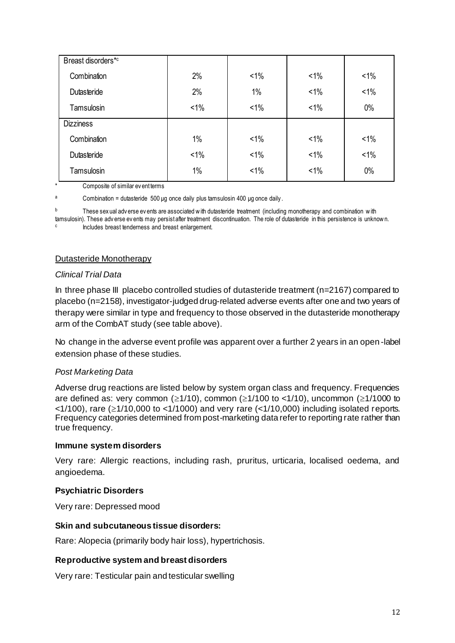| Breast disorders*c |         |         |         |         |
|--------------------|---------|---------|---------|---------|
| Combination        | 2%      | $< 1\%$ | $< 1\%$ | $1\%$   |
| Dutasteride        | 2%      | $1\%$   | $< 1\%$ | $< 1\%$ |
| Tamsulosin         | $< 1\%$ | $< 1\%$ | $< 1\%$ | $0\%$   |
| <b>Dizziness</b>   |         |         |         |         |
| Combination        | $1\%$   | $< 1\%$ | $< 1\%$ | $< 1\%$ |
| Dutasteride        | $< 1\%$ | $< 1\%$ | $< 1\%$ | $< 1\%$ |
| Tamsulosin         | 1%      | $< 1\%$ | $< 1\%$ | $0\%$   |

Composite of similar ev ent terms

 $a$  Combination = dutasteride 500 μg once daily plus tamsulosin 400 μg once daily.

b These sex ual adv erse ev ents are associated w ith dutasteride treatment (including monotherapy and combination with tamsulosin). These adv erse ev ents may persist after treatment discontinuation. The role of dutasteride in this persistence is unknow n. c Includes breast tenderness and breast enlargement.

#### Dutasteride Monotherapy

#### *Clinical Trial Data*

In three phase III placebo controlled studies of dutasteride treatment (n=2167) compared to placebo (n=2158), investigator-judged drug-related adverse events after one and two years of therapy were similar in type and frequency to those observed in the dutasteride monotherapy arm of the CombAT study (see table above).

No change in the adverse event profile was apparent over a further 2 years in an open -label extension phase of these studies.

#### *Post Marketing Data*

Adverse drug reactions are listed below by system organ class and frequency. Frequencies are defined as: very common ( $\geq$ 1/10), common ( $\geq$ 1/100 to <1/10), uncommon ( $\geq$ 1/1000 to  $\leq$ 1/100), rare ( $\geq$ 1/10,000 to  $\leq$ 1/1000) and very rare ( $\leq$ 1/10,000) including isolated reports. Frequency categories determined from post-marketing data refer to reporting rate rather than true frequency.

#### **Immune system disorders**

Very rare: Allergic reactions, including rash, pruritus, urticaria, localised oedema, and angioedema.

#### **Psychiatric Disorders**

Very rare: Depressed mood

#### **Skin and subcutaneous tissue disorders:**

Rare: Alopecia (primarily body hair loss), hypertrichosis.

#### **Reproductive system and breast disorders**

Very rare: Testicular pain and testicular swelling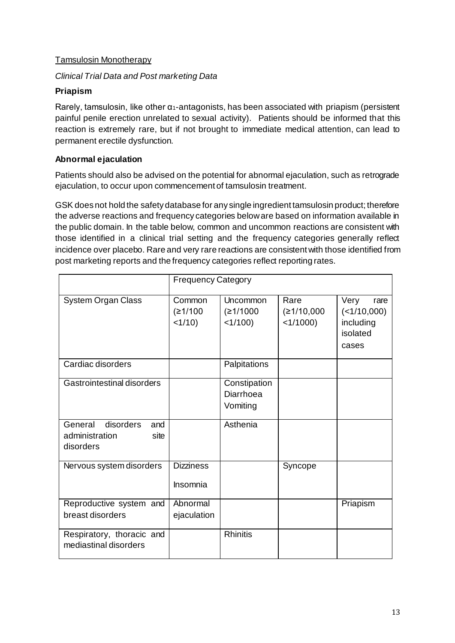### Tamsulosin Monotherapy

### *Clinical Trial Data and Post marketing Data*

### **Priapism**

Rarely, tamsulosin, like other  $\alpha_1$ -antagonists, has been associated with priapism (persistent painful penile erection unrelated to sexual activity). Patients should be informed that this reaction is extremely rare, but if not brought to immediate medical attention, can lead to permanent erectile dysfunction.

### **Abnormal ejaculation**

Patients should also be advised on the potential for abnormal ejaculation, such as retrograde ejaculation, to occur upon commencement of tamsulosin treatment.

GSK does not hold the safety database for any single ingredient tamsulosin product; therefore the adverse reactions and frequency categories below are based on information available in the public domain. In the table below, common and uncommon reactions are consistent with those identified in a clinical trial setting and the frequency categories generally reflect incidence over placebo. Rare and very rare reactions are consistent with those identified from post marketing reports and the frequency categories reflect reporting rates.

|                                                                    | <b>Frequency Category</b>      |                                       |                                   |                                                               |
|--------------------------------------------------------------------|--------------------------------|---------------------------------------|-----------------------------------|---------------------------------------------------------------|
| <b>System Organ Class</b>                                          | Common<br>(≥1/100<br>$<1/10$ ) | Uncommon<br>(≥1/1000<br>$<1/100$ )    | Rare<br>(≥1/10,000<br>$<1/1000$ ) | Very<br>rare<br>(<1/10,000)<br>including<br>isolated<br>cases |
| Cardiac disorders                                                  |                                | Palpitations                          |                                   |                                                               |
| Gastrointestinal disorders                                         |                                | Constipation<br>Diarrhoea<br>Vomiting |                                   |                                                               |
| General<br>disorders<br>and<br>administration<br>site<br>disorders |                                | Asthenia                              |                                   |                                                               |
| Nervous system disorders                                           | <b>Dizziness</b><br>Insomnia   |                                       | Syncope                           |                                                               |
| Reproductive system and<br>breast disorders                        | Abnormal<br>ejaculation        |                                       |                                   | Priapism                                                      |
| Respiratory, thoracic and<br>mediastinal disorders                 |                                | <b>Rhinitis</b>                       |                                   |                                                               |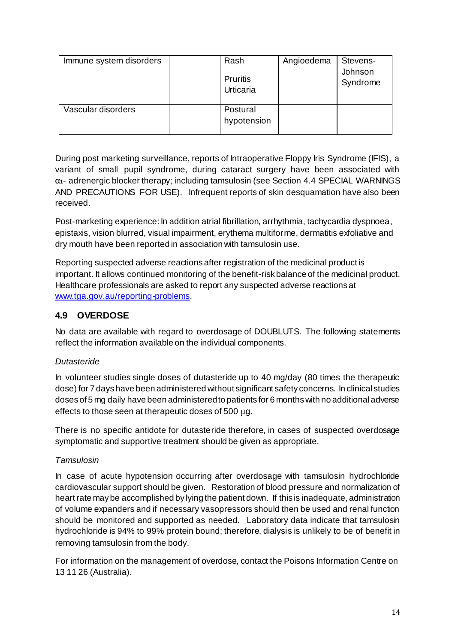| Immune system disorders | Rash<br>Pruritis<br>Urticaria | Angioedema | Stevens-<br>Johnson<br>Syndrome |
|-------------------------|-------------------------------|------------|---------------------------------|
| Vascular disorders      | Postural<br>hypotension       |            |                                 |

During post marketing surveillance, reports of Intraoperative Floppy Iris Syndrome (IFIS), a variant of small pupil syndrome, during cataract surgery have been associated with  $\alpha$ <sup>1</sup>- adrenergic blocker therapy; including tamsulosin (see Section 4.4 SPECIAL WARNINGS AND PRECAUTIONS FOR USE). Infrequent reports of skin desquamation have also been received.

Post-marketing experience: In addition atrial fibrillation, arrhythmia, tachycardia dyspnoea, epistaxis, vision blurred, visual impairment, erythema multiforme, dermatitis exfoliative and dry mouth have been reported in association with tamsulosin use.

Reporting suspected adverse reactions after registration of the medicinal product is important. It allows continued monitoring of the benefit-risk balance of the medicinal product. Healthcare professionals are asked to report any suspected adverse reactions at [www.tga.gov.au/reporting-problems](http://www.tga.gov.au/reporting-problems).

### **4.9 OVERDOSE**

No data are available with regard to overdosage of DOUBLUTS. The following statements reflect the information available on the individual components.

### *Dutasteride*

In volunteer studies single doses of dutasteride up to 40 mg/day (80 times the therapeutic dose) for 7 days have been administered without significant safety concerns. In clinical studies doses of 5 mg daily have been administered to patients for 6 months with no additional adverse effects to those seen at the rapeutic doses of  $500 \mu q$ .

There is no specific antidote for dutasteride therefore, in cases of suspected overdosage symptomatic and supportive treatment should be given as appropriate.

### *Tamsulosin*

In case of acute hypotension occurring after overdosage with tamsulosin hydrochloride cardiovascular support should be given. Restoration of blood pressure and normalization of heart rate may be accomplished by lying the patient down. If this is inadequate, administration of volume expanders and if necessary vasopressors should then be used and renal function should be monitored and supported as needed. Laboratory data indicate that tamsulosin hydrochloride is 94% to 99% protein bound; therefore, dialysis is unlikely to be of benefit in removing tamsulosin from the body.

For information on the management of overdose, contact the Poisons Information Centre on 13 11 26 (Australia).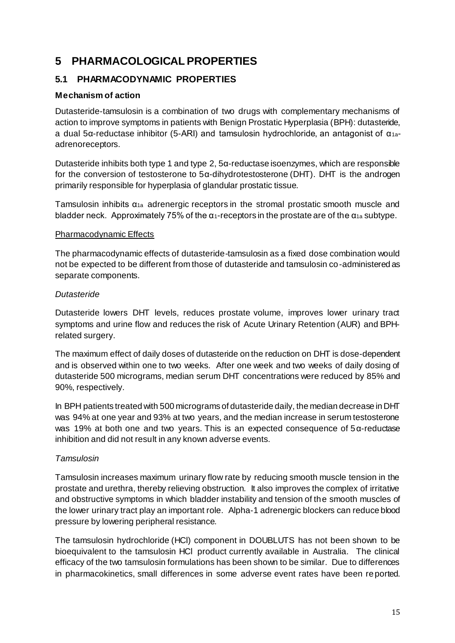## **5 PHARMACOLOGICAL PROPERTIES**

### **5.1 PHARMACODYNAMIC PROPERTIES**

### **Mechanism of action**

Dutasteride-tamsulosin is a combination of two drugs with complementary mechanisms of action to improve symptoms in patients with Benign Prostatic Hyperplasia (BPH): dutasteride, a dual 5α-reductase inhibitor (5-ARI) and tamsulosin hydrochloride, an antagonist of α1aadrenoreceptors.

Dutasteride inhibits both type 1 and type 2, 5α-reductase isoenzymes, which are responsible for the conversion of testosterone to 5α-dihydrotestosterone (DHT). DHT is the androgen primarily responsible for hyperplasia of glandular prostatic tissue.

Tamsulosin inhibits  $\alpha_{1a}$  adrenergic receptors in the stromal prostatic smooth muscle and bladder neck. Approximately 75% of the  $\alpha_1$ -receptors in the prostate are of the  $\alpha_1$  subtype.

### Pharmacodynamic Effects

The pharmacodynamic effects of dutasteride-tamsulosin as a fixed dose combination would not be expected to be different from those of dutasteride and tamsulosin co-administered as separate components.

### *Dutasteride*

Dutasteride lowers DHT levels, reduces prostate volume, improves lower urinary tract symptoms and urine flow and reduces the risk of Acute Urinary Retention (AUR) and BPHrelated surgery.

The maximum effect of daily doses of dutasteride on the reduction on DHT is dose-dependent and is observed within one to two weeks. After one week and two weeks of daily dosing of dutasteride 500 micrograms, median serum DHT concentrations were reduced by 85% and 90%, respectively.

In BPH patients treated with 500 micrograms of dutasteride daily, the median decrease in DHT was 94% at one year and 93% at two years, and the median increase in serum testosterone was 19% at both one and two years. This is an expected consequence of 5α-reductase inhibition and did not result in any known adverse events.

### *Tamsulosin*

Tamsulosin increases maximum urinary flow rate by reducing smooth muscle tension in the prostate and urethra, thereby relieving obstruction. It also improves the complex of irritative and obstructive symptoms in which bladder instability and tension of the smooth muscles of the lower urinary tract play an important role. Alpha-1 adrenergic blockers can reduce blood pressure by lowering peripheral resistance.

The tamsulosin hydrochloride (HCl) component in DOUBLUTS has not been shown to be bioequivalent to the tamsulosin HCl product currently available in Australia. The clinical efficacy of the two tamsulosin formulations has been shown to be similar. Due to differences in pharmacokinetics, small differences in some adverse event rates have been reported.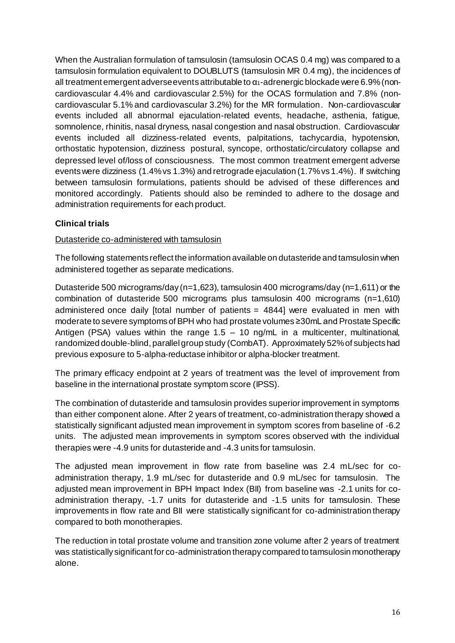When the Australian formulation of tamsulosin (tamsulosin OCAS 0.4 mg) was compared to a tamsulosin formulation equivalent to DOUBLUTS (tamsulosin MR 0.4 mg), the incidences of all treatment emergent adverse events attributable to  $\alpha_1$ -adrenergic blockade were 6.9% (noncardiovascular 4.4% and cardiovascular 2.5%) for the OCAS formulation and 7.8% (noncardiovascular 5.1% and cardiovascular 3.2%) for the MR formulation. Non-cardiovascular events included all abnormal ejaculation-related events, headache, asthenia, fatigue, somnolence, rhinitis, nasal dryness, nasal congestion and nasal obstruction. Cardiovascular events included all dizziness-related events, palpitations, tachycardia, hypotension, orthostatic hypotension, dizziness postural, syncope, orthostatic/circulatory collapse and depressed level of/loss of consciousness. The most common treatment emergent adverse events were dizziness (1.4% vs 1.3%) and retrograde ejaculation (1.7% vs 1.4%). If switching between tamsulosin formulations, patients should be advised of these differences and monitored accordingly. Patients should also be reminded to adhere to the dosage and administration requirements for each product.

### **Clinical trials**

### Dutasteride co-administered with tamsulosin

The following statements reflect the information available on dutasteride and tamsulosin when administered together as separate medications.

Dutasteride 500 micrograms/day (n=1,623), tamsulosin 400 micrograms/day (n=1,611) or the combination of dutasteride 500 micrograms plus tamsulosin 400 micrograms (n=1,610) administered once daily [total number of patients = 4844] were evaluated in men with moderate to severe symptoms of BPH who had prostate volumes ≥30mL and Prostate Specific Antigen (PSA) values within the range  $1.5 - 10$  ng/mL in a multicenter, multinational, randomized double-blind, parallel group study (CombAT). Approximately 52% of subjects had previous exposure to 5-alpha-reductase inhibitor or alpha-blocker treatment.

The primary efficacy endpoint at 2 years of treatment was the level of improvement from baseline in the international prostate symptom score (IPSS).

The combination of dutasteride and tamsulosin provides superior improvement in symptoms than either component alone. After 2 years of treatment, co-administration therapy showed a statistically significant adjusted mean improvement in symptom scores from baseline of -6.2 units. The adjusted mean improvements in symptom scores observed with the individual therapies were -4.9 units for dutasteride and -4.3 units for tamsulosin.

The adjusted mean improvement in flow rate from baseline was 2.4 mL/sec for coadministration therapy, 1.9 mL/sec for dutasteride and 0.9 mL/sec for tamsulosin. The adjusted mean improvement in BPH Impact Index (BII) from baseline was -2.1 units for coadministration therapy, -1.7 units for dutasteride and -1.5 units for tamsulosin. These improvements in flow rate and BII were statistically significant for co-administration therapy compared to both monotherapies.

The reduction in total prostate volume and transition zone volume after 2 years of treatment was statistically significant for co-administration therapy compared to tamsulosin monotherapy alone.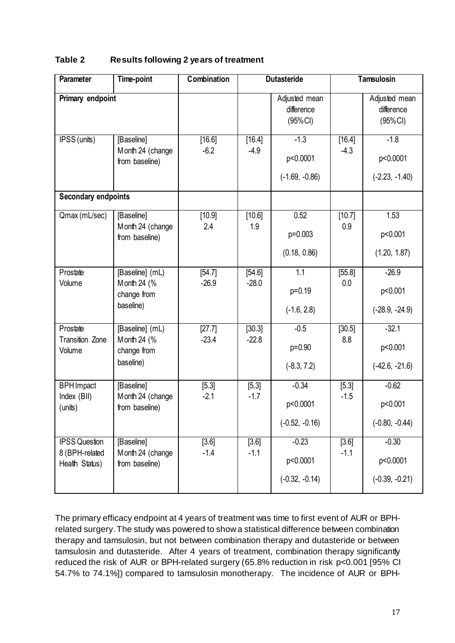| <b>Parameter</b>                                         | <b>Time-point</b>                                          | Combination       |                   | <b>Dutasteride</b>                      |                   | <b>Tamsulosin</b>                       |
|----------------------------------------------------------|------------------------------------------------------------|-------------------|-------------------|-----------------------------------------|-------------------|-----------------------------------------|
| Primary endpoint                                         |                                                            |                   |                   | Adjusted mean<br>difference<br>(95% CI) |                   | Adjusted mean<br>difference<br>(95%Cl)  |
| IPSS (units)                                             | [Baseline]<br>Month 24 (change<br>from baseline)           | [16.6]<br>$-6.2$  | [16.4]<br>$-4.9$  | $-1.3$<br>p<0.0001<br>$(-1.69, -0.86)$  | [16.4]<br>$-4.3$  | $-1.8$<br>p<0.0001<br>$(-2.23, -1.40)$  |
| <b>Secondary endpoints</b>                               |                                                            |                   |                   |                                         |                   |                                         |
| Qmax (mL/sec)                                            | [Baseline]<br>Month 24 (change<br>from baseline)           | [10.9]<br>2.4     | [10.6]<br>1.9     | 0.52<br>p=0.003<br>(0.18, 0.86)         | [10.7]<br>0.9     | 1.53<br>p<0.001<br>(1.20, 1.87)         |
| Prostate<br>Volume                                       | [Baseline] (mL)<br>Month 24 (%<br>change from<br>baseline) | [54.7]<br>$-26.9$ | [54.6]<br>$-28.0$ | 1.1<br>p=0.19<br>$(-1.6, 2.8)$          | [55.8]<br>0.0     | $-26.9$<br>p<0.001<br>$(-28.9, -24.9)$  |
| Prostate<br><b>Transition Zone</b><br>Volume             | [Baseline] (mL)<br>Month 24 (%<br>change from<br>baseline) | [27.7]<br>$-23.4$ | [30.3]<br>$-22.8$ | $-0.5$<br>p=0.90<br>$(-8.3, 7.2)$       | [30.5]<br>8.8     | $-32.1$<br>p<0.001<br>$(-42.6, -21.6)$  |
| <b>BPH</b> Impact<br>Index (BII)<br>(units)              | [Baseline]<br>Month 24 (change<br>from baseline)           | [5.3]<br>$-2.1$   | $[5.3]$<br>$-1.7$ | $-0.34$<br>p<0.0001<br>$(-0.52, -0.16)$ | $[5.3]$<br>$-1.5$ | $-0.62$<br>p<0.001<br>$(-0.80, -0.44)$  |
| <b>IPSS Question</b><br>8 (BPH-related<br>Health Status) | [Baseline]<br>Month 24 (change<br>from baseline)           | $[3.6]$<br>$-1.4$ | [3.6]<br>$-1.1$   | $-0.23$<br>p<0.0001<br>$(-0.32, -0.14)$ | [3.6]<br>$-1.1$   | $-0.30$<br>p<0.0001<br>$(-0.39, -0.21)$ |

### **Table 2 Results following 2 years of treatment**

The primary efficacy endpoint at 4 years of treatment was time to first event of AUR or BPHrelated surgery. The study was powered to show a statistical difference between combination therapy and tamsulosin, but not between combination therapy and dutasteride or between tamsulosin and dutasteride. After 4 years of treatment, combination therapy significantly reduced the risk of AUR or BPH-related surgery (65.8% reduction in risk p<0.001 [95% CI 54.7% to 74.1%]) compared to tamsulosin monotherapy. The incidence of AUR or BPH-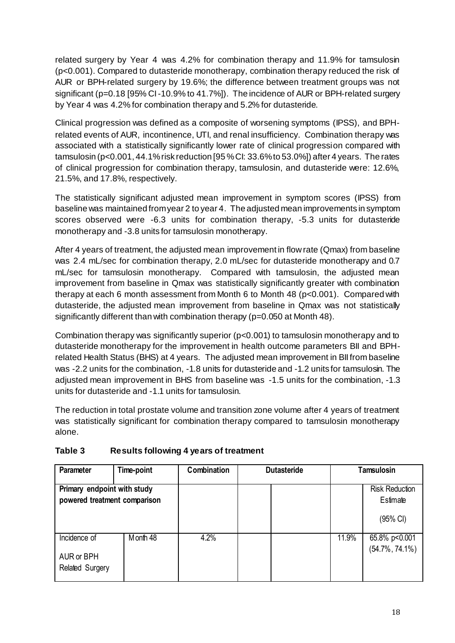related surgery by Year 4 was 4.2% for combination therapy and 11.9% for tamsulosin (p<0.001). Compared to dutasteride monotherapy, combination therapy reduced the risk of AUR or BPH-related surgery by 19.6%; the difference between treatment groups was not significant (p=0.18 [95% CI -10.9% to 41.7%]). The incidence of AUR or BPH-related surgery by Year 4 was 4.2% for combination therapy and 5.2% for dutasteride.

Clinical progression was defined as a composite of worsening symptoms (IPSS), and BPHrelated events of AUR, incontinence, UTI, and renal insufficiency. Combination therapy was associated with a statistically significantly lower rate of clinical progression compared with tamsulosin (p<0.001, 44.1% risk reduction [95 % CI: 33.6% to 53.0%]) after 4 years. The rates of clinical progression for combination therapy, tamsulosin, and dutasteride were: 12.6%, 21.5%, and 17.8%, respectively.

The statistically significant adjusted mean improvement in symptom scores (IPSS) from baseline was maintained from year 2 to year 4. The adjusted mean improvements in symptom scores observed were -6.3 units for combination therapy, -5.3 units for dutasteride monotherapy and -3.8 units for tamsulosin monotherapy.

After 4 years of treatment, the adjusted mean improvement in flow rate (Qmax) from baseline was 2.4 mL/sec for combination therapy, 2.0 mL/sec for dutasteride monotherapy and 0.7 mL/sec for tamsulosin monotherapy. Compared with tamsulosin, the adjusted mean improvement from baseline in Qmax was statistically significantly greater with combination therapy at each 6 month assessment from Month 6 to Month 48 (p<0.001). Compared with dutasteride, the adjusted mean improvement from baseline in Qmax was not statistically significantly different than with combination therapy (p=0.050 at Month 48).

Combination therapy was significantly superior (p<0.001) to tamsulosin monotherapy and to dutasteride monotherapy for the improvement in health outcome parameters BII and BPHrelated Health Status (BHS) at 4 years. The adjusted mean improvement in BII from baseline was -2.2 units for the combination, -1.8 units for dutasteride and -1.2 units for tamsulosin. The adjusted mean improvement in BHS from baseline was -1.5 units for the combination, -1.3 units for dutasteride and -1.1 units for tamsulosin.

The reduction in total prostate volume and transition zone volume after 4 years of treatment was statistically significant for combination therapy compared to tamsulosin monotherapy alone.

| Parameter                                                   | Time-point | Combination | <b>Dutasteride</b> |       | Tamsulosin                                    |
|-------------------------------------------------------------|------------|-------------|--------------------|-------|-----------------------------------------------|
| Primary endpoint with study<br>powered treatment comparison |            |             |                    |       | <b>Risk Reduction</b><br>Estimate<br>(95% CI) |
| Incidence of<br>AUR or BPH<br>Related Surgery               | Month 48   | 4.2%        |                    | 11.9% | 65.8% p<0.001<br>$(54.7\%, 74.1\%)$           |

### **Table 3 Results following 4 years of treatment**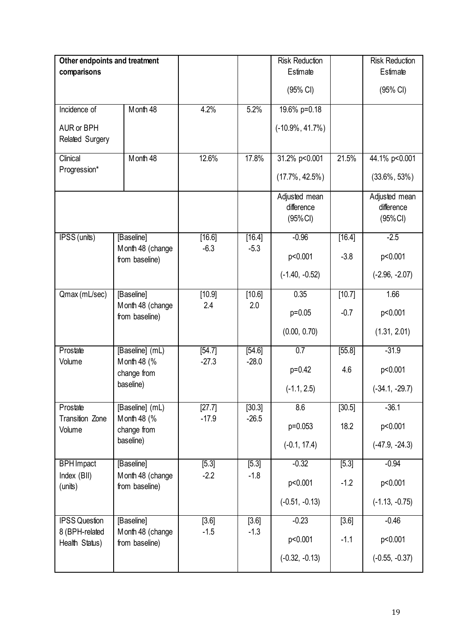| Other endpoints and treatment    |                                    |                  |                  | <b>Risk Reduction</b>             |          | <b>Risk Reduction</b> |
|----------------------------------|------------------------------------|------------------|------------------|-----------------------------------|----------|-----------------------|
| comparisons                      |                                    |                  |                  | Estimate                          |          | Estimate              |
|                                  |                                    |                  |                  | (95% CI)                          |          | (95% CI)              |
| Incidence of                     | Month 48                           | 4.2%             | 5.2%             | 19.6% p=0.18                      |          |                       |
| AUR or BPH                       |                                    |                  |                  | $(-10.9\%, 41.7\%)$               |          |                       |
| Related Surgery                  |                                    |                  |                  |                                   |          |                       |
| Clinical                         | Month 48                           | 12.6%            | 17.8%            | 31.2% p<0.001                     | 21.5%    | 44.1% p<0.001         |
| Progression*                     |                                    |                  |                  | $(17.7\%, 42.5\%)$                |          | $(33.6\%, 53\%)$      |
|                                  |                                    |                  |                  | Adjusted mean                     |          | Adjusted mean         |
|                                  |                                    |                  |                  | difference<br>(95% <sup>C</sup> ) |          | difference<br>(95%Cl) |
|                                  |                                    |                  |                  |                                   |          |                       |
| IPSS (units)                     | [Baseline]<br>Month 48 (change     | [16.6]<br>$-6.3$ | [16.4]<br>$-5.3$ | $-0.96$                           | [16.4]   | $-2.5$                |
|                                  | from baseline)                     |                  |                  | p<0.001                           | $-3.8$   | p<0.001               |
|                                  |                                    |                  |                  | $(-1.40, -0.52)$                  |          | $(-2.96, -2.07)$      |
| Qmax (mL/sec)                    | [Baseline]                         | [10.9]           | [10.6]           | 0.35                              | [10.7]   | 1.66                  |
|                                  | Month 48 (change<br>from baseline) | 2.4              | 2.0              | $p=0.05$                          | $-0.7$   | p<0.001               |
|                                  |                                    |                  |                  | (0.00, 0.70)                      |          | (1.31, 2.01)          |
| Prostate                         | [Baseline] (mL)                    | [54.7]           | [54.6]           | $\overline{0.7}$                  | [55.8]   | $-31.9$               |
| Volume                           | Month 48 (%<br>change from         | $-27.3$          | $-28.0$          | $p=0.42$                          | 4.6      | p<0.001               |
|                                  | baseline)                          |                  |                  | $(-1.1, 2.5)$                     |          | $(-34.1, -29.7)$      |
| Prostate                         | [Baseline] (mL)                    | [27.7]           | [30.3]           | 8.6                               | $[30.5]$ | $-36.1$               |
| <b>Transition Zone</b><br>Volume | Month 48 (%<br>change from         | $-17.9$          | $-26.5$          | p=0.053                           | 18.2     | p<0.001               |
|                                  | baseline)                          |                  |                  | $(-0.1, 17.4)$                    |          | $(-47.9, -24.3)$      |
| <b>BPH</b> Impact                | [Baseline]                         | [5.3]            | [5.3]            | $-0.32$                           | [5.3]    | $-0.94$               |
| Index (BII)<br>(units)           | Month 48 (change<br>from baseline) | $-2.2$           | $-1.8$           | p<0.001                           | $-1.2$   | p<0.001               |
|                                  |                                    |                  |                  | $(-0.51, -0.13)$                  |          | $(-1.13, -0.75)$      |
| <b>IPSS Question</b>             | [Baseline]                         | $[3.6]$          | $[3.6]$          | $-0.23$                           | $[3.6]$  | $-0.46$               |
| 8 (BPH-related<br>Health Status) | Month 48 (change<br>from baseline) | $-1.5$           | $-1.3$           | p<0.001                           | $-1.1$   | p<0.001               |
|                                  |                                    |                  |                  | $(-0.32, -0.13)$                  |          | $(-0.55, -0.37)$      |
|                                  |                                    |                  |                  |                                   |          |                       |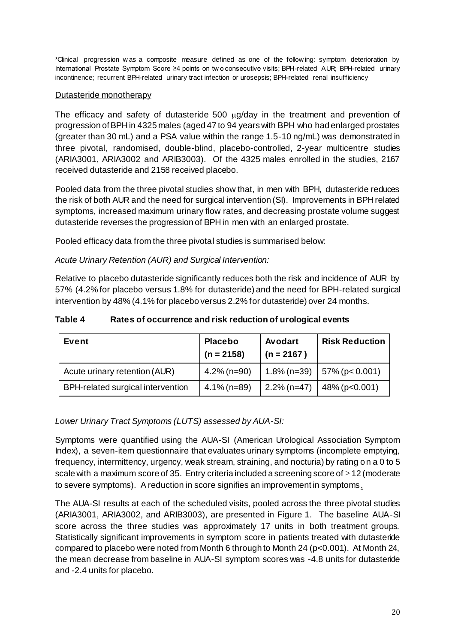\*Clinical progression w as a composite measure defined as one of the follow ing: symptom deterioration by International Prostate Symptom Score ≥4 points on tw o consecutive visits; BPH-related AUR; BPH-related urinary incontinence; recurrent BPH-related urinary tract infection or urosepsis; BPH-related renal insufficiency

#### Dutasteride monotherapy

The efficacy and safety of dutasteride 500 ug/day in the treatment and prevention of progression of BPH in 4325 males (aged 47 to 94 years with BPH who had enlarged prostates (greater than 30 mL) and a PSA value within the range 1.5-10 ng/mL) was demonstrated in three pivotal, randomised, double-blind, placebo-controlled, 2-year multicentre studies (ARIA3001, ARIA3002 and ARIB3003). Of the 4325 males enrolled in the studies, 2167 received dutasteride and 2158 received placebo.

Pooled data from the three pivotal studies show that, in men with BPH, dutasteride reduces the risk of both AUR and the need for surgical intervention (SI). Improvements in BPH related symptoms, increased maximum urinary flow rates, and decreasing prostate volume suggest dutasteride reverses the progression of BPH in men with an enlarged prostate.

Pooled efficacy data from the three pivotal studies is summarised below:

### *Acute Urinary Retention (AUR) and Surgical Intervention:*

Relative to placebo dutasteride significantly reduces both the risk and incidence of AUR by 57% (4.2% for placebo versus 1.8% for dutasteride) and the need for BPH-related surgical intervention by 48% (4.1% for placebo versus 2.2% for dutasteride) over 24 months.

| Table 4 | Rates of occurrence and risk reduction of urological events |
|---------|-------------------------------------------------------------|
|---------|-------------------------------------------------------------|

| Event                             | <b>Placebo</b><br>$(n = 2158)$ | Avodart<br>$(n = 2167)$ | <b>Risk Reduction</b> |
|-----------------------------------|--------------------------------|-------------------------|-----------------------|
| Acute urinary retention (AUR)     | $4.2\%$ (n=90)                 | $1.8\%$ (n=39)          | $157\%$ (p < 0.001)   |
| BPH-related surgical intervention | $4.1\%$ (n=89)                 | $2.2\%$ (n=47)          | $48\%$ (p<0.001)      |

*Lower Urinary Tract Symptoms (LUTS) assessed by AUA-SI:*

Symptoms were quantified using the AUA-SI (American Urological Association Symptom Index), a seven-item questionnaire that evaluates urinary symptoms (incomplete emptying, frequency, intermittency, urgency, weak stream, straining, and nocturia) by rating on a 0 to 5 scale with a maximum score of 35. Entry criteria included a screening score of  $\geq$  12 (moderate to severe symptoms). A reduction in score signifies an improvement in symptoms.

The AUA-SI results at each of the scheduled visits, pooled across the three pivotal studies (ARIA3001, ARIA3002, and ARIB3003), are presented in Figure 1. The baseline AUA-SI score across the three studies was approximately 17 units in both treatment groups. Statistically significant improvements in symptom score in patients treated with dutasteride compared to placebo were noted from Month 6 through to Month 24 (p<0.001). At Month 24, the mean decrease from baseline in AUA-SI symptom scores was -4.8 units for dutasteride and -2.4 units for placebo.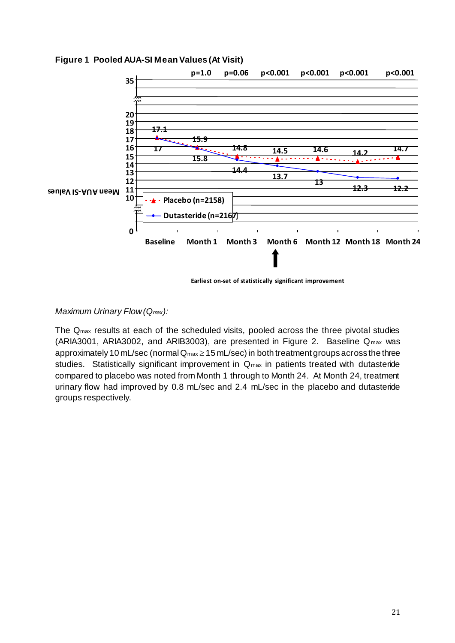

**Figure 1 Pooled AUA-SI Mean Values (At Visit)**

 **Earliest on-set of statistically significant improvement**

### *Maximum Urinary Flow (Qmax):*

The Qmax results at each of the scheduled visits, pooled across the three pivotal studies (ARIA3001, ARIA3002, and ARIB3003), are presented in Figure 2. Baseline Qmax was approximately 10 mL/sec (normal  $Q_{max} \ge 15$  mL/sec) in both treatment groups across the three studies. Statistically significant improvement in Qmax in patients treated with dutasteride compared to placebo was noted from Month 1 through to Month 24. At Month 24, treatment urinary flow had improved by 0.8 mL/sec and 2.4 mL/sec in the placebo and dutasteride groups respectively.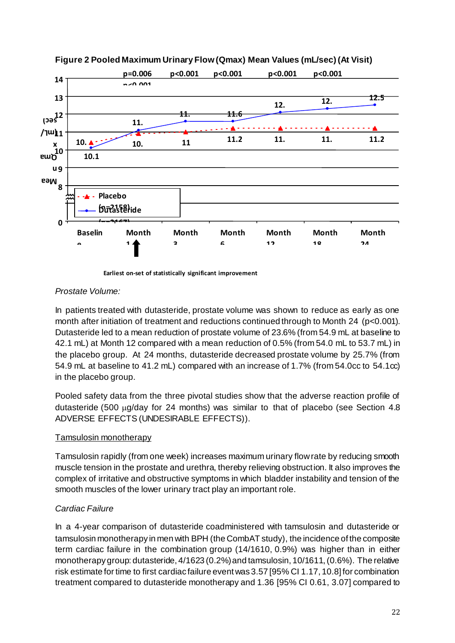



**Earliest on-set of statistically significant improvement**

### *Prostate Volume:*

In patients treated with dutasteride, prostate volume was shown to reduce as early as one month after initiation of treatment and reductions continued through to Month 24 (p<0.001). Dutasteride led to a mean reduction of prostate volume of 23.6% (from 54.9 mL at baseline to 42.1 mL) at Month 12 compared with a mean reduction of 0.5% (from 54.0 mL to 53.7 mL) in the placebo group. At 24 months, dutasteride decreased prostate volume by 25.7% (from 54.9 mL at baseline to 41.2 mL) compared with an increase of 1.7% (from 54.0cc to 54.1cc) in the placebo group.

Pooled safety data from the three pivotal studies show that the adverse reaction profile of dutasteride (500  $\mu$ g/day for 24 months) was similar to that of placebo (see Section 4.8 ADVERSE EFFECTS (UNDESIRABLE EFFECTS)).

### Tamsulosin monotherapy

Tamsulosin rapidly (from one week) increases maximum urinary flow rate by reducing smooth muscle tension in the prostate and urethra, thereby relieving obstruction. It also improves the complex of irritative and obstructive symptoms in which bladder instability and tension of the smooth muscles of the lower urinary tract play an important role.

### *Cardiac Failure*

In a 4-year comparison of dutasteride coadministered with tamsulosin and dutasteride or tamsulosin monotherapy in men with BPH (the CombAT study), the incidence of the composite term cardiac failure in the combination group (14/1610, 0.9%) was higher than in either monotherapy group: dutasteride, 4/1623 (0.2%) and tamsulosin, 10/1611, (0.6%). The relative risk estimate for time to first cardiac failure event was 3.57 [95% CI 1.17, 10.8] for combination treatment compared to dutasteride monotherapy and 1.36 [95% CI 0.61, 3.07] compared to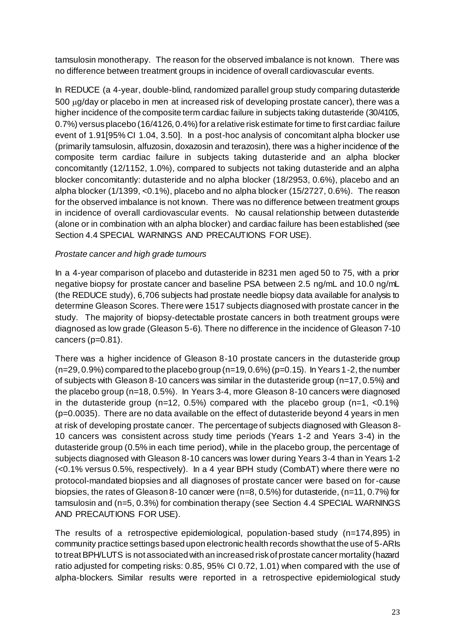tamsulosin monotherapy. The reason for the observed imbalance is not known. There was no difference between treatment groups in incidence of overall cardiovascular events.

In REDUCE (a 4-year, double-blind, randomized parallel group study comparing dutasteride 500 µg/day or placebo in men at increased risk of developing prostate cancer), there was a higher incidence of the composite term cardiac failure in subjects taking dutasteride (30/4105, 0.7%) versus placebo (16/4126, 0.4%) for a relative risk estimate for time to first cardiac failure event of 1.91[95% CI 1.04, 3.50]. In a post-hoc analysis of concomitant alpha blocker use (primarily tamsulosin, alfuzosin, doxazosin and terazosin), there was a higher incidence of the composite term cardiac failure in subjects taking dutasteride and an alpha blocker concomitantly (12/1152, 1.0%), compared to subjects not taking dutasteride and an alpha blocker concomitantly: dutasteride and no alpha blocker (18/2953, 0.6%), placebo and an alpha blocker (1/1399, <0.1%), placebo and no alpha blocker (15/2727, 0.6%). The reason for the observed imbalance is not known. There was no difference between treatment groups in incidence of overall cardiovascular events. No causal relationship between dutasteride (alone or in combination with an alpha blocker) and cardiac failure has been established (see Section 4.4 SPECIAL WARNINGS AND PRECAUTIONS FOR USE).

### *Prostate cancer and high grade tumours*

In a 4-year comparison of placebo and dutasteride in 8231 men aged 50 to 75, with a prior negative biopsy for prostate cancer and baseline PSA between 2.5 ng/mL and 10.0 ng/mL (the REDUCE study), 6,706 subjects had prostate needle biopsy data available for analysis to determine Gleason Scores. There were 1517 subjects diagnosed with prostate cancer in the study. The majority of biopsy-detectable prostate cancers in both treatment groups were diagnosed as low grade (Gleason 5-6). There no difference in the incidence of Gleason 7-10 cancers (p=0.81).

There was a higher incidence of Gleason 8-10 prostate cancers in the dutasteride group  $(n=29, 0.9\%)$  compared to the placebo group  $(n=19, 0.6\%)$  (p=0.15). In Years 1-2, the number of subjects with Gleason 8-10 cancers was similar in the dutasteride group (n=17, 0.5%) and the placebo group (n=18, 0.5%). In Years 3-4, more Gleason 8-10 cancers were diagnosed in the dutasteride group ( $n=12$ , 0.5%) compared with the placebo group ( $n=1$ , <0.1%) (p=0.0035). There are no data available on the effect of dutasteride beyond 4 years in men at risk of developing prostate cancer. The percentage of subjects diagnosed with Gleason 8- 10 cancers was consistent across study time periods (Years 1-2 and Years 3-4) in the dutasteride group (0.5% in each time period), while in the placebo group, the percentage of subjects diagnosed with Gleason 8-10 cancers was lower during Years 3-4 than in Years 1-2 (<0.1% versus 0.5%, respectively). In a 4 year BPH study (CombAT) where there were no protocol-mandated biopsies and all diagnoses of prostate cancer were based on for-cause biopsies, the rates of Gleason 8-10 cancer were (n=8, 0.5%) for dutasteride, (n=11, 0.7%) for tamsulosin and (n=5, 0.3%) for combination therapy (see Section 4.4 SPECIAL WARNINGS AND PRECAUTIONS FOR USE).

The results of a retrospective epidemiological, population-based study (n=174,895) in community practice settings based upon electronic health records show that the use of 5-ARIs to treat BPH/LUTS is not associated with an increased risk of prostate cancer mortality (hazard ratio adjusted for competing risks: 0.85, 95% CI 0.72, 1.01) when compared with the use of alpha-blockers. Similar results were reported in a retrospective epidemiological study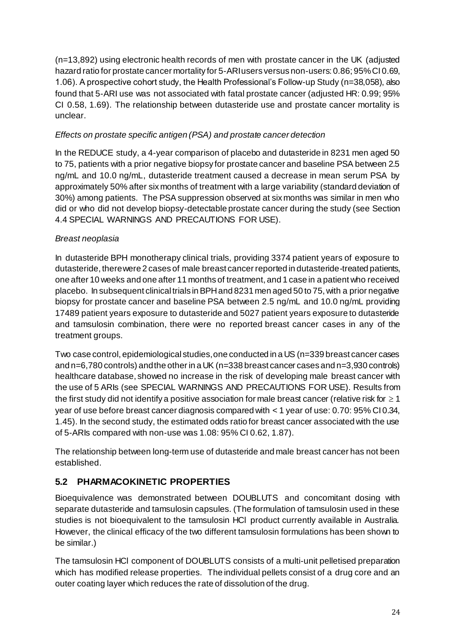(n=13,892) using electronic health records of men with prostate cancer in the UK (adjusted hazard ratio for prostate cancer mortality for 5-ARI users versus non-users: 0.86; 95% CI 0.69, 1.06). A prospective cohort study, the Health Professional's Follow-up Study (n=38,058), also found that 5-ARI use was not associated with fatal prostate cancer (adjusted HR: 0.99; 95% CI 0.58, 1.69). The relationship between dutasteride use and prostate cancer mortality is unclear.

### *Effects on prostate specific antigen (PSA) and prostate cancer detection*

In the REDUCE study, a 4-year comparison of placebo and dutasteride in 8231 men aged 50 to 75, patients with a prior negative biopsy for prostate cancer and baseline PSA between 2.5 ng/mL and 10.0 ng/mL, dutasteride treatment caused a decrease in mean serum PSA by approximately 50% after six months of treatment with a large variability (standard deviation of 30%) among patients. The PSA suppression observed at six months was similar in men who did or who did not develop biopsy-detectable prostate cancer during the study (see Section 4.4 SPECIAL WARNINGS AND PRECAUTIONS FOR USE).

### *Breast neoplasia*

In dutasteride BPH monotherapy clinical trials, providing 3374 patient years of exposure to dutasteride, there were 2 cases of male breast cancer reported in dutasteride-treated patients, one after 10 weeks and one after 11 months of treatment, and 1 case in a patient who received placebo. In subsequent clinical trials in BPH and 8231 men aged 50 to 75, with a prior negative biopsy for prostate cancer and baseline PSA between 2.5 ng/mL and 10.0 ng/mL providing 17489 patient years exposure to dutasteride and 5027 patient years exposure to dutasteride and tamsulosin combination, there were no reported breast cancer cases in any of the treatment groups.

Two case control, epidemiological studies, one conducted in a US (n=339 breast cancer cases and n=6,780 controls) and the other in a UK (n=338 breast cancer cases and n=3,930 controls) healthcare database, showed no increase in the risk of developing male breast cancer with the use of 5 ARIs (see SPECIAL WARNINGS AND PRECAUTIONS FOR USE). Results from the first study did not identify a positive association for male breast cancer (relative risk for  $\geq 1$ ) year of use before breast cancer diagnosis compared with < 1 year of use: 0.70: 95% CI 0.34, 1.45). In the second study, the estimated odds ratio for breast cancer associated with the use of 5-ARIs compared with non-use was 1.08: 95% CI 0.62, 1.87).

The relationship between long-term use of dutasteride and male breast cancer has not been established.

### **5.2 PHARMACOKINETIC PROPERTIES**

Bioequivalence was demonstrated between DOUBLUTS and concomitant dosing with separate dutasteride and tamsulosin capsules. (The formulation of tamsulosin used in these studies is not bioequivalent to the tamsulosin HCl product currently available in Australia. However, the clinical efficacy of the two different tamsulosin formulations has been shown to be similar.)

The tamsulosin HCl component of DOUBLUTS consists of a multi-unit pelletised preparation which has modified release properties. The individual pellets consist of a drug core and an outer coating layer which reduces the rate of dissolution of the drug.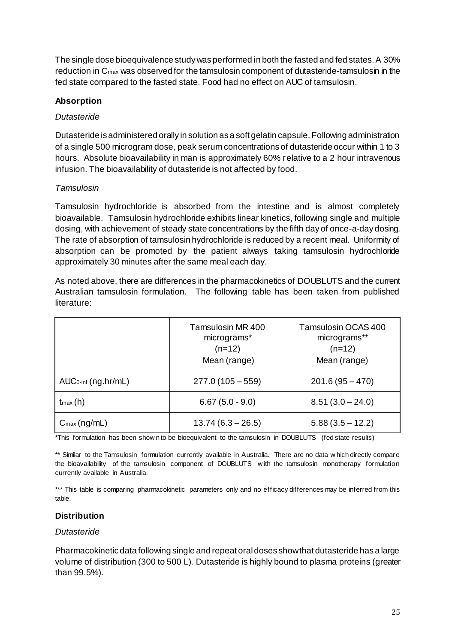The single dose bioequivalence study was performed in both the fasted and fed states. A 30% reduction in Cmax was observed for the tamsulosin component of dutasteride-tamsulosin in the fed state compared to the fasted state. Food had no effect on AUC of tamsulosin.

### **Absorption**

### *Dutasteride*

Dutasteride is administered orally in solution as a soft gelatin capsule. Following administration of a single 500 microgram dose, peak serum concentrations of dutasteride occur within 1 to 3 hours. Absolute bioavailability in man is approximately 60% relative to a 2 hour intravenous infusion. The bioavailability of dutasteride is not affected by food.

### *Tamsulosin*

Tamsulosin hydrochloride is absorbed from the intestine and is almost completely bioavailable. Tamsulosin hydrochloride exhibits linear kinetics, following single and multiple dosing, with achievement of steady state concentrations by the fifth day of once-a-day dosing. The rate of absorption of tamsulosin hydrochloride is reduced by a recent meal. Uniformity of absorption can be promoted by the patient always taking tamsulosin hydrochloride approximately 30 minutes after the same meal each day.

As noted above, there are differences in the pharmacokinetics of DOUBLUTS and the current Australian tamsulosin formulation. The following table has been taken from published literature:

|                         | Tamsulosin MR 400<br>micrograms*<br>$(n=12)$<br>Mean (range) | Tamsulosin OCAS 400<br>micrograms**<br>$(n=12)$<br>Mean (range) |
|-------------------------|--------------------------------------------------------------|-----------------------------------------------------------------|
| $AUC0-int$ (ng.hr/mL)   | $277.0(105-559)$                                             | $201.6(95 - 470)$                                               |
| $t_{max}(h)$            | $6.67(5.0 - 9.0)$                                            | $8.51(3.0 - 24.0)$                                              |
| $C_{\text{max}}(ng/mL)$ | $13.74(6.3 - 26.5)$                                          | $5.88(3.5 - 12.2)$                                              |

\*This formulation has been show n to be bioequivalent to the tamsulosin in DOUBLUTS (fed state results)

\*\* Similar to the Tamsulosin formulation currently available in Australia. There are no data w hich directly compare the bioavailability of the tamsulosin component of DOUBLUTS w ith the tamsulosin monotherapy formulation currently available in Australia.

\*\*\* This table is comparing pharmacokinetic parameters only and no efficacy differences may be inferred from this table.

### **Distribution**

### *Dutasteride*

Pharmacokinetic data following single and repeat oral doses show that dutasteride has a large volume of distribution (300 to 500 L). Dutasteride is highly bound to plasma proteins (greater than 99.5%).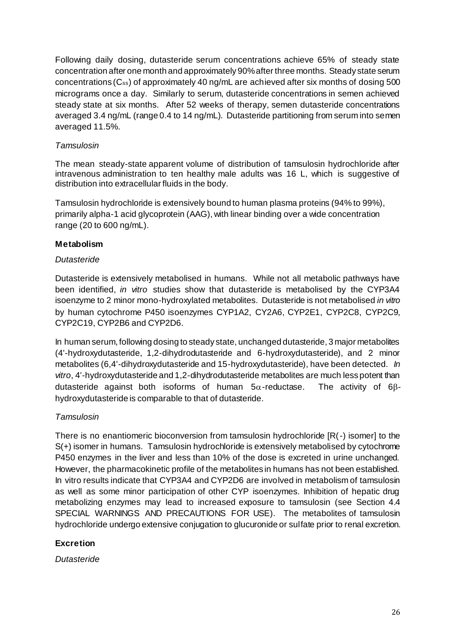Following daily dosing, dutasteride serum concentrations achieve 65% of steady state concentration after one month and approximately 90% after three months. Steady state serum concentrations (Css) of approximately 40 ng/mL are achieved after six months of dosing 500 micrograms once a day. Similarly to serum, dutasteride concentrations in semen achieved steady state at six months. After 52 weeks of therapy, semen dutasteride concentrations averaged 3.4 ng/mL (range 0.4 to 14 ng/mL). Dutasteride partitioning from serum into semen averaged 11.5%.

### *Tamsulosin*

The mean steady-state apparent volume of distribution of tamsulosin hydrochloride after intravenous administration to ten healthy male adults was 16 L, which is suggestive of distribution into extracellular fluids in the body.

Tamsulosin hydrochloride is extensively bound to human plasma proteins (94% to 99%), primarily alpha-1 acid glycoprotein (AAG), with linear binding over a wide concentration range (20 to 600 ng/mL).

#### **Metabolism**

#### *Dutasteride*

Dutasteride is extensively metabolised in humans. While not all metabolic pathways have been identified, *in vitro* studies show that dutasteride is metabolised by the CYP3A4 isoenzyme to 2 minor mono-hydroxylated metabolites. Dutasteride is not metabolised *in vitro* by human cytochrome P450 isoenzymes CYP1A2, CY2A6, CYP2E1, CYP2C8, CYP2C9, CYP2C19, CYP2B6 and CYP2D6.

In human serum, following dosing to steady state, unchanged dutasteride, 3 major metabolites (4'-hydroxydutasteride, 1,2-dihydrodutasteride and 6-hydroxydutasteride), and 2 minor metabolites (6,4'-dihydroxydutasteride and 15-hydroxydutasteride), have been detected. *In vitro*, 4'-hydroxydutasteride and 1,2-dihydrodutasteride metabolites are much less potent than dutasteride against both isoforms of human  $5\alpha$ -reductase. The activity of 6 $\beta$ hydroxydutasteride is comparable to that of dutasteride.

#### *Tamsulosin*

There is no enantiomeric bioconversion from tamsulosin hydrochloride [R(-) isomer] to the S(+) isomer in humans. Tamsulosin hydrochloride is extensively metabolised by cytochrome P450 enzymes in the liver and less than 10% of the dose is excreted in urine unchanged. However, the pharmacokinetic profile of the metabolites in humans has not been established. In vitro results indicate that CYP3A4 and CYP2D6 are involved in metabolism of tamsulosin as well as some minor participation of other CYP isoenzymes. Inhibition of hepatic drug metabolizing enzymes may lead to increased exposure to tamsulosin (see Section 4.4 SPECIAL WARNINGS AND PRECAUTIONS FOR USE). The metabolites of tamsulosin hydrochloride undergo extensive conjugation to glucuronide or sulfate prior to renal excretion.

### **Excretion**

*Dutasteride*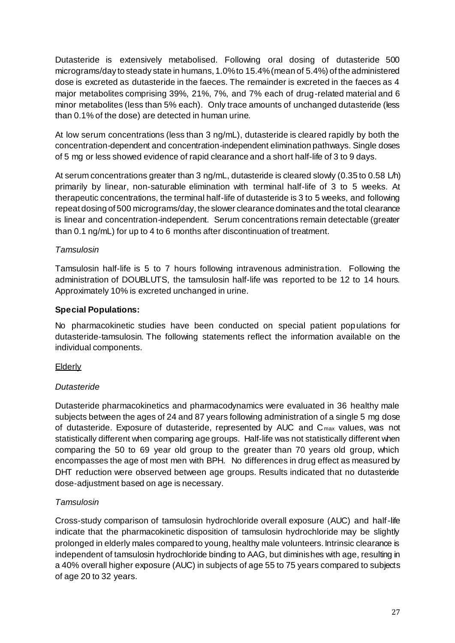Dutasteride is extensively metabolised. Following oral dosing of dutasteride 500 micrograms/day to steady state in humans, 1.0% to 15.4% (mean of 5.4%) of the administered dose is excreted as dutasteride in the faeces. The remainder is excreted in the faeces as 4 major metabolites comprising 39%, 21%, 7%, and 7% each of drug-related material and 6 minor metabolites (less than 5% each). Only trace amounts of unchanged dutasteride (less than 0.1% of the dose) are detected in human urine.

At low serum concentrations (less than 3 ng/mL), dutasteride is cleared rapidly by both the concentration-dependent and concentration-independent elimination pathways. Single doses of 5 mg or less showed evidence of rapid clearance and a short half-life of 3 to 9 days.

At serum concentrations greater than 3 ng/mL, dutasteride is cleared slowly (0.35 to 0.58 L/h) primarily by linear, non-saturable elimination with terminal half-life of 3 to 5 weeks. At therapeutic concentrations, the terminal half-life of dutasteride is 3 to 5 weeks, and following repeat dosing of 500 micrograms/day, the slower clearance dominates and the total clearance is linear and concentration-independent. Serum concentrations remain detectable (greater than 0.1 ng/mL) for up to 4 to 6 months after discontinuation of treatment.

### *Tamsulosin*

Tamsulosin half-life is 5 to 7 hours following intravenous administration. Following the administration of DOUBLUTS, the tamsulosin half-life was reported to be 12 to 14 hours. Approximately 10% is excreted unchanged in urine.

### **Special Populations:**

No pharmacokinetic studies have been conducted on special patient populations for dutasteride-tamsulosin. The following statements reflect the information available on the individual components.

### Elderly

### *Dutasteride*

Dutasteride pharmacokinetics and pharmacodynamics were evaluated in 36 healthy male subjects between the ages of 24 and 87 years following administration of a single 5 mg dose of dutasteride. Exposure of dutasteride, represented by AUC and C<sub>max</sub> values, was not statistically different when comparing age groups. Half-life was not statistically different when comparing the 50 to 69 year old group to the greater than 70 years old group, which encompasses the age of most men with BPH. No differences in drug effect as measured by DHT reduction were observed between age groups. Results indicated that no dutasteride dose-adjustment based on age is necessary.

### *Tamsulosin*

Cross-study comparison of tamsulosin hydrochloride overall exposure (AUC) and half-life indicate that the pharmacokinetic disposition of tamsulosin hydrochloride may be slightly prolonged in elderly males compared to young, healthy male volunteers. Intrinsic clearance is independent of tamsulosin hydrochloride binding to AAG, but diminishes with age, resulting in a 40% overall higher exposure (AUC) in subjects of age 55 to 75 years compared to subjects of age 20 to 32 years.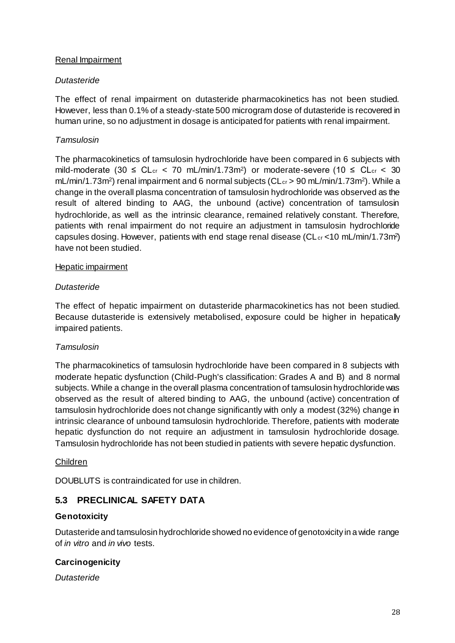### Renal Impairment

#### *Dutasteride*

The effect of renal impairment on dutasteride pharmacokinetics has not been studied. However, less than 0.1% of a steady-state 500 microgram dose of dutasteride is recovered in human urine, so no adjustment in dosage is anticipated for patients with renal impairment.

### *Tamsulosin*

The pharmacokinetics of tamsulosin hydrochloride have been compared in 6 subjects with mild-moderate (30  $\leq$  CL<sub>cr</sub>  $\lt$  70 mL/min/1.73m<sup>2</sup>) or moderate-severe (10  $\leq$  CL<sub>cr</sub>  $\lt$  30 mL/min/1.73m<sup>2</sup>) renal impairment and 6 normal subjects (CL<sub>cr</sub> > 90 mL/min/1.73m<sup>2</sup>). While a change in the overall plasma concentration of tamsulosin hydrochloride was observed as the result of altered binding to AAG, the unbound (active) concentration of tamsulosin hydrochloride, as well as the intrinsic clearance, remained relatively constant. Therefore, patients with renal impairment do not require an adjustment in tamsulosin hydrochloride capsules dosing. However, patients with end stage renal disease (CL<sub>cr</sub> <10 mL/min/1.73m<sup>2</sup>) have not been studied.

#### Hepatic impairment

#### *Dutasteride*

The effect of hepatic impairment on dutasteride pharmacokinetics has not been studied. Because dutasteride is extensively metabolised, exposure could be higher in hepatically impaired patients.

### *Tamsulosin*

The pharmacokinetics of tamsulosin hydrochloride have been compared in 8 subjects with moderate hepatic dysfunction (Child-Pugh's classification: Grades A and B) and 8 normal subjects. While a change in the overall plasma concentration of tamsulosin hydrochloride was observed as the result of altered binding to AAG, the unbound (active) concentration of tamsulosin hydrochloride does not change significantly with only a modest (32%) change in intrinsic clearance of unbound tamsulosin hydrochloride. Therefore, patients with moderate hepatic dysfunction do not require an adjustment in tamsulosin hydrochloride dosage. Tamsulosin hydrochloride has not been studied in patients with severe hepatic dysfunction.

#### Children

DOUBLUTS is contraindicated for use in children.

### **5.3 PRECLINICAL SAFETY DATA**

#### **Genotoxicity**

Dutasteride and tamsulosin hydrochloride showed no evidence of genotoxicity in a wide range of *in vitro* and *in vivo* tests.

### **Carcinogenicity**

*Dutasteride*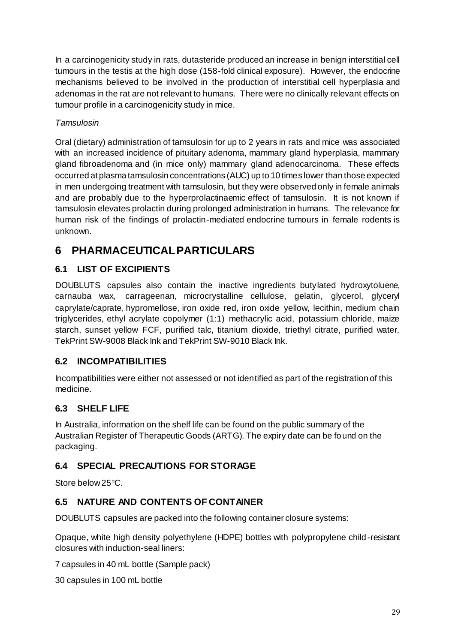In a carcinogenicity study in rats, dutasteride produced an increase in benign interstitial cell tumours in the testis at the high dose (158-fold clinical exposure). However, the endocrine mechanisms believed to be involved in the production of interstitial cell hyperplasia and adenomas in the rat are not relevant to humans. There were no clinically relevant effects on tumour profile in a carcinogenicity study in mice.

### *Tamsulosin*

Oral (dietary) administration of tamsulosin for up to 2 years in rats and mice was associated with an increased incidence of pituitary adenoma, mammary gland hyperplasia, mammary gland fibroadenoma and (in mice only) mammary gland adenocarcinoma. These effects occurred at plasma tamsulosin concentrations (AUC) up to 10 times lower than those expected in men undergoing treatment with tamsulosin, but they were observed only in female animals and are probably due to the hyperprolactinaemic effect of tamsulosin. It is not known if tamsulosin elevates prolactin during prolonged administration in humans. The relevance for human risk of the findings of prolactin-mediated endocrine tumours in female rodents is unknown.

## **6 PHARMACEUTICAL PARTICULARS**

### **6.1 LIST OF EXCIPIENTS**

DOUBLUTS capsules also contain the inactive ingredients butylated hydroxytoluene, carnauba wax, carrageenan, microcrystalline cellulose, gelatin, glycerol, glyceryl caprylate/caprate, hypromellose, iron oxide red, iron oxide yellow, lecithin, medium chain triglycerides, ethyl acrylate copolymer (1:1) methacrylic acid, potassium chloride, maize starch, sunset yellow FCF, purified talc, titanium dioxide, triethyl citrate, purified water, TekPrint SW-9008 Black Ink and TekPrint SW-9010 Black Ink.

### **6.2 INCOMPATIBILITIES**

Incompatibilities were either not assessed or not identified as part of the registration of this medicine.

### **6.3 SHELF LIFE**

In Australia, information on the shelf life can be found on the public summary of the Australian Register of Therapeutic Goods (ARTG). The expiry date can be found on the packaging.

### **6.4 SPECIAL PRECAUTIONS FOR STORAGE**

Store below 25 °C.

### **6.5 NATURE AND CONTENTS OF CONTAINER**

DOUBLUTS capsules are packed into the following container closure systems:

Opaque, white high density polyethylene (HDPE) bottles with polypropylene child-resistant closures with induction-seal liners:

7 capsules in 40 mL bottle (Sample pack)

30 capsules in 100 mL bottle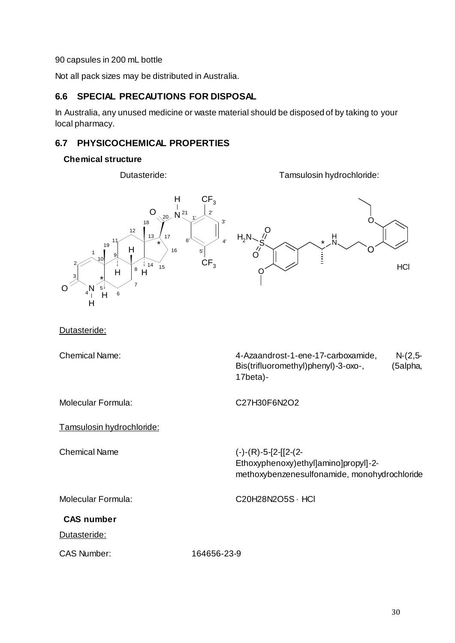90 capsules in 200 mL bottle

Not all pack sizes may be distributed in Australia.

### **6.6 SPECIAL PRECAUTIONS FOR DISPOSAL**

In Australia, any unused medicine or waste material should be disposed of by taking to your local pharmacy.

### **6.7 PHYSICOCHEMICAL PROPERTIES**

#### **Chemical structure**

Dutasteride: Tamsulosin hydrochloride:



#### Dutasteride:

Chemical Name:

| 4-Azaandrost-1-ene-17-carboxamide,  | $N-(2,5-$ |
|-------------------------------------|-----------|
| Bis(trifluoromethyl)phenyl)-3-oxo-, | (5alpha,  |
| 17beta)-                            |           |

Molecular Formula: C27H30F6N2O2

Tamsulosin hydrochloride:

Chemical Name (-)-(R)-5-[2-[[2-(2-

Ethoxyphenoxy)ethyl]amino]propyl]-2 methoxybenzenesulfonamide, monohydrochloride

Molecular Formula: C20H28N2O5S · HCl

#### **CAS number**

Dutasteride:

CAS Number: 164656-23-9